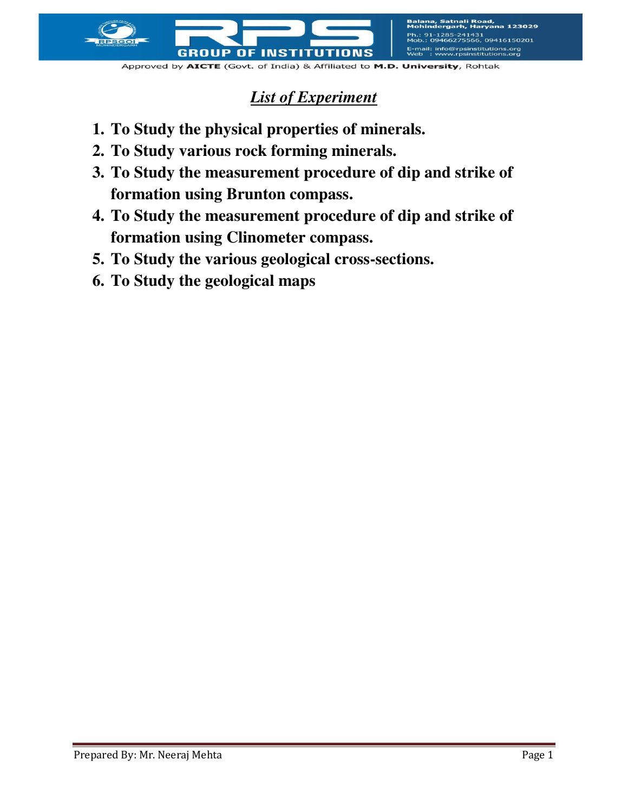

E-mail: info@rpsinstitutions.org<br>Web : www.rpsinstitutions.org

## *List of Experiment*

- **1. To Study the physical properties of minerals.**
- **2. To Study various rock forming minerals.**
- **3. To Study the measurement procedure of dip and strike of formation using Brunton compass.**
- **4. To Study the measurement procedure of dip and strike of formation using Clinometer compass.**
- **5. To Study the various geological cross-sections.**
- **6. To Study the geological maps**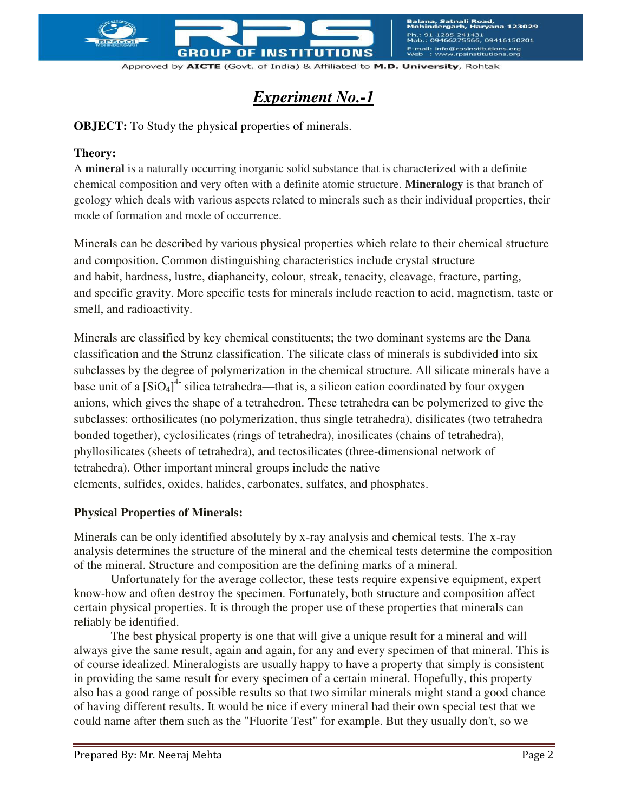

Balana, Satnali Road,<br>Mohindergarh, Harvana 123029 91-1285-241431<br>.: 09466275566, 09416150201 E-mail: info@rpsinstitutions.org<br>Web : www.rpsinstitutions.org

Approved by AICTE (Govt. of India) & Affiliated to M.D. University, Rohtak

# *Experiment No.-1*

**OBJECT:** To Study the physical properties of minerals.

#### **Theory:**

A **mineral** is a naturally occurring inorganic solid substance that is characterized with a definite chemical composition and very often with a definite atomic structure. **Mineralogy** is that branch of geology which deals with various aspects related to minerals such as their individual properties, their mode of formation and mode of occurrence.

Minerals can be described by various physical properties which relate to their chemical structure and composition. Common distinguishing characteristics include crystal structure and [habit,](http://en.wikipedia.org/wiki/Crystal_habit) [hardness,](http://en.wikipedia.org/wiki/Mohs_scale_of_mineral_hardness) [lustre,](http://en.wikipedia.org/wiki/Lustre_\(mineralogy\)) [diaphaneity,](http://en.wikipedia.org/wiki/Diaphaneity) colour, [streak,](http://en.wikipedia.org/wiki/Streak_\(mineralogy\)) tenacity, [cleavage,](http://en.wikipedia.org/wiki/Cleavage_\(crystal\)) fracture, parting, and [specific gravity.](http://en.wikipedia.org/wiki/Specific_gravity) More specific tests for minerals include reaction to acid, magnetism, taste or smell, and radioactivity.

Minerals are classified by key chemical constituents; the two dominant systems are the Dana classification and the Strunz classification. The silicate class of minerals is subdivided into six subclasses by the degree of [polymerization](http://en.wikipedia.org/wiki/Polymorphism_\(materials_science\)) in the chemical structure. All silicate minerals have a base unit of a  $\left[SiO_4\right]^4$  silica tetrahedra—that is, a silicon cation coordinated by four oxygen anions, which gives the shape of a [tetrahedron.](http://en.wikipedia.org/wiki/Tetrahedron) These tetrahedra can be polymerized to give the subclasses: orthosilicates (no polymerization, thus single tetrahedra), disilicates (two tetrahedra bonded together), cyclosilicates (rings of tetrahedra), inosilicates (chains of tetrahedra), phyllosilicates (sheets of tetrahedra), and tectosilicates (three-dimensional network of tetrahedra). Other important mineral groups include the [native](http://en.wikipedia.org/wiki/Native_element_minerals)  [elements,](http://en.wikipedia.org/wiki/Native_element_minerals) [sulfides,](http://en.wikipedia.org/wiki/Sulfide_minerals) [oxides,](http://en.wikipedia.org/wiki/Oxide_minerals) [halides,](http://en.wikipedia.org/wiki/Halide_minerals) [carbonates,](http://en.wikipedia.org/wiki/Carbonate_minerals) [sulfates,](http://en.wikipedia.org/wiki/Sulfate_minerals) and [phosphates.](http://en.wikipedia.org/wiki/Phosphate_minerals)

## **Physical Properties of Minerals:**

Minerals can be only identified absolutely by x-ray analysis and chemical tests. The x-ray analysis determines the structure of the mineral and the chemical tests determine the composition of the mineral. Structure and composition are the defining marks of a mineral.

Unfortunately for the average collector, these tests require expensive equipment, expert know-how and often destroy the specimen. Fortunately, both structure and composition affect certain physical properties. It is through the proper use of these properties that minerals can reliably be identified.

The best physical property is one that will give a unique result for a mineral and will always give the same result, again and again, for any and every specimen of that mineral. This is of course idealized. Mineralogists are usually happy to have a property that simply is consistent in providing the same result for every specimen of a certain mineral. Hopefully, this property also has a good range of possible results so that two similar minerals might stand a good chance of having different results. It would be nice if every mineral had their own special test that we could name after them such as the "Fluorite Test" for example. But they usually don't, so we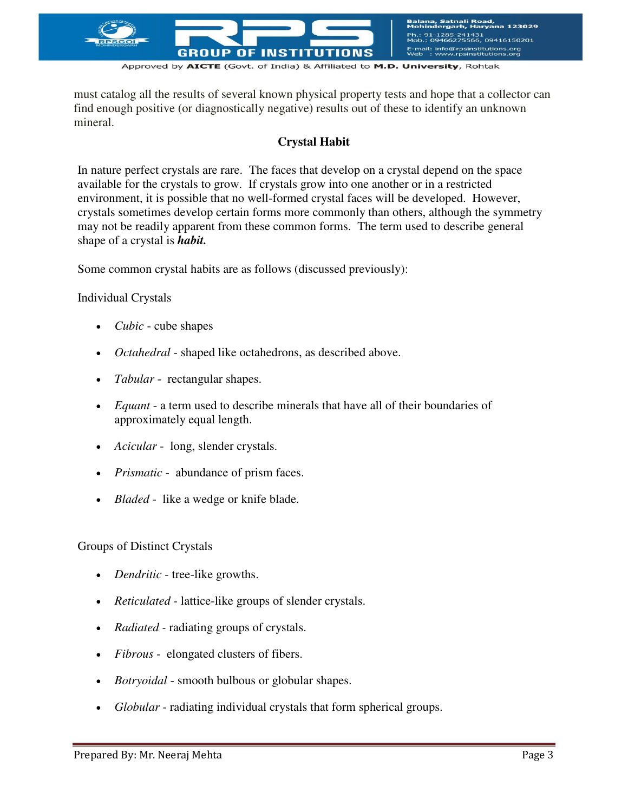

must catalog all the results of several known physical property tests and hope that a collector can find enough positive (or diagnostically negative) results out of these to identify an unknown mineral.

## **Crystal Habit**

In nature perfect crystals are rare. The faces that develop on a crystal depend on the space available for the crystals to grow. If crystals grow into one another or in a restricted environment, it is possible that no well-formed crystal faces will be developed. However, crystals sometimes develop certain forms more commonly than others, although the symmetry may not be readily apparent from these common forms. The term used to describe general shape of a crystal is *habit.*

Some common crystal habits are as follows (discussed previously):

#### Individual Crystals

- *Cubic* cube shapes
- *Octahedral*  shaped like octahedrons, as described above.
- *Tabular* rectangular shapes.
- *Equant* a term used to describe minerals that have all of their boundaries of approximately equal length.
- *Acicular* long, slender crystals.
- *Prismatic* abundance of prism faces.
- *Bladed*  like a wedge or knife blade.

#### Groups of Distinct Crystals

- *Dendritic*  tree-like growths.
- *Reticulated* lattice-like groups of slender crystals.
- *Radiated* radiating groups of crystals.
- *Fibrous* elongated clusters of fibers.
- *Botryoidal*  smooth bulbous or globular shapes.
- *Globular* radiating individual crystals that form spherical groups.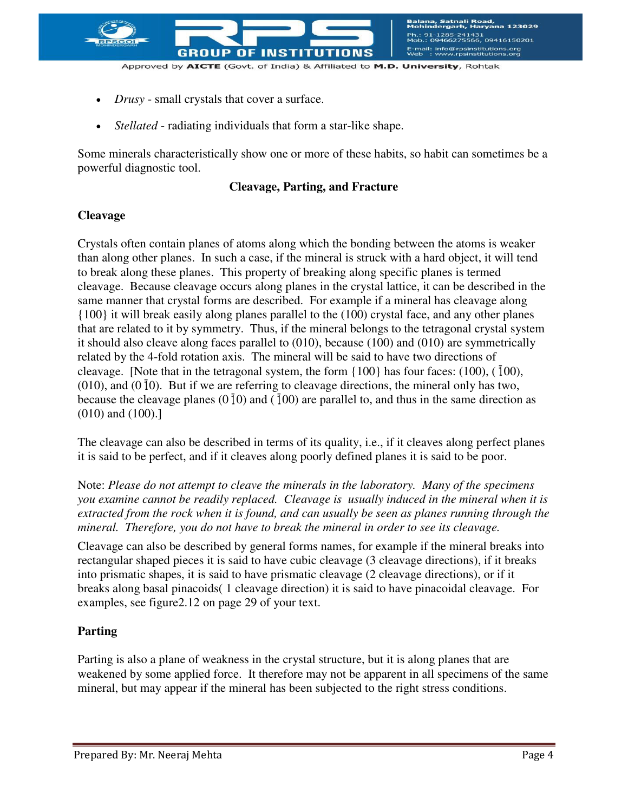

- *Drusy* small crystals that cover a surface.
- *Stellated* radiating individuals that form a star-like shape.

Some minerals characteristically show one or more of these habits, so habit can sometimes be a powerful diagnostic tool.

## **Cleavage, Parting, and Fracture**

## **Cleavage**

Crystals often contain planes of atoms along which the bonding between the atoms is weaker than along other planes. In such a case, if the mineral is struck with a hard object, it will tend to break along these planes. This property of breaking along specific planes is termed cleavage. Because cleavage occurs along planes in the crystal lattice, it can be described in the same manner that crystal forms are described. For example if a mineral has cleavage along {100} it will break easily along planes parallel to the (100) crystal face, and any other planes that are related to it by symmetry. Thus, if the mineral belongs to the tetragonal crystal system it should also cleave along faces parallel to (010), because (100) and (010) are symmetrically related by the 4-fold rotation axis. The mineral will be said to have two directions of cleavage. [Note that in the tetragonal system, the form  $\{100\}$  has four faces: (100), ( $\bar{1}00$ ),  $(010)$ , and  $(010)$ . But if we are referring to cleavage directions, the mineral only has two, because the cleavage planes  $(0\bar{1}0)$  and  $(100)$  are parallel to, and thus in the same direction as (010) and (100).]

The cleavage can also be described in terms of its quality, i.e., if it cleaves along perfect planes it is said to be perfect, and if it cleaves along poorly defined planes it is said to be poor.

Note: *Please do not attempt to cleave the minerals in the laboratory. Many of the specimens you examine cannot be readily replaced. Cleavage is usually induced in the mineral when it is extracted from the rock when it is found, and can usually be seen as planes running through the mineral. Therefore, you do not have to break the mineral in order to see its cleavage.*

Cleavage can also be described by general forms names, for example if the mineral breaks into rectangular shaped pieces it is said to have cubic cleavage (3 cleavage directions), if it breaks into prismatic shapes, it is said to have prismatic cleavage (2 cleavage directions), or if it breaks along basal pinacoids( 1 cleavage direction) it is said to have pinacoidal cleavage. For examples, see figure2.12 on page 29 of your text.

## **Parting**

Parting is also a plane of weakness in the crystal structure, but it is along planes that are weakened by some applied force. It therefore may not be apparent in all specimens of the same mineral, but may appear if the mineral has been subjected to the right stress conditions.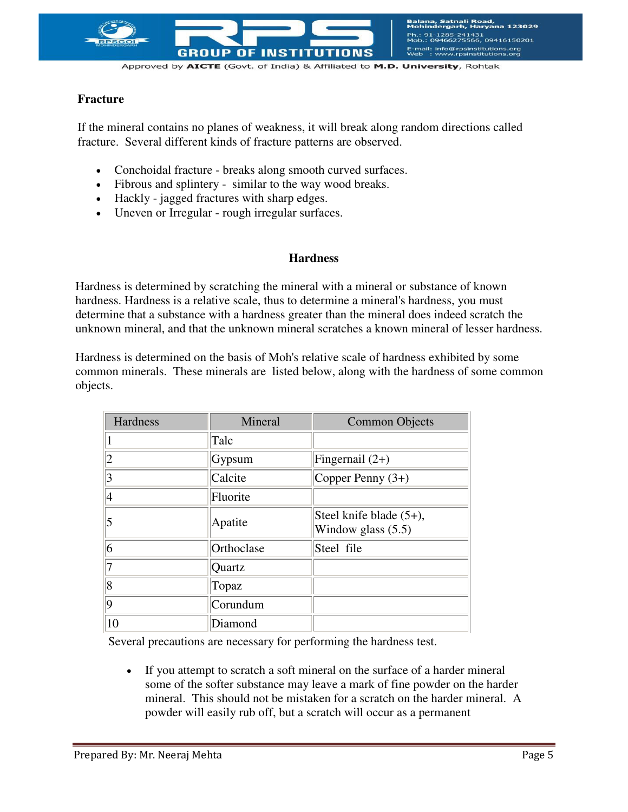

## **Fracture**

If the mineral contains no planes of weakness, it will break along random directions called fracture. Several different kinds of fracture patterns are observed.

- Conchoidal fracture breaks along smooth curved surfaces.
- Fibrous and splintery similar to the way wood breaks.
- Hackly jagged fractures with sharp edges.
- Uneven or Irregular rough irregular surfaces.

#### **Hardness**

Hardness is determined by scratching the mineral with a mineral or substance of known hardness. Hardness is a relative scale, thus to determine a mineral's hardness, you must determine that a substance with a hardness greater than the mineral does indeed scratch the unknown mineral, and that the unknown mineral scratches a known mineral of lesser hardness.

Hardness is determined on the basis of Moh's relative scale of hardness exhibited by some common minerals. These minerals are listed below, along with the hardness of some common objects.

| <b>Hardness</b> | Mineral    | <b>Common Objects</b>                              |
|-----------------|------------|----------------------------------------------------|
|                 | Talc       |                                                    |
|                 | Gypsum     | Fingernail $(2+)$                                  |
|                 | Calcite    | Copper Penny $(3+)$                                |
|                 | Fluorite   |                                                    |
|                 | Apatite    | Steel knife blade $(5+)$ ,<br>Window glass $(5.5)$ |
| 6               | Orthoclase | Steel file                                         |
|                 | Quartz     |                                                    |
| $\overline{8}$  | Topaz      |                                                    |
| 9               | Corundum   |                                                    |
| 10              | Diamond    |                                                    |

Several precautions are necessary for performing the hardness test.

 If you attempt to scratch a soft mineral on the surface of a harder mineral some of the softer substance may leave a mark of fine powder on the harder mineral. This should not be mistaken for a scratch on the harder mineral. A powder will easily rub off, but a scratch will occur as a permanent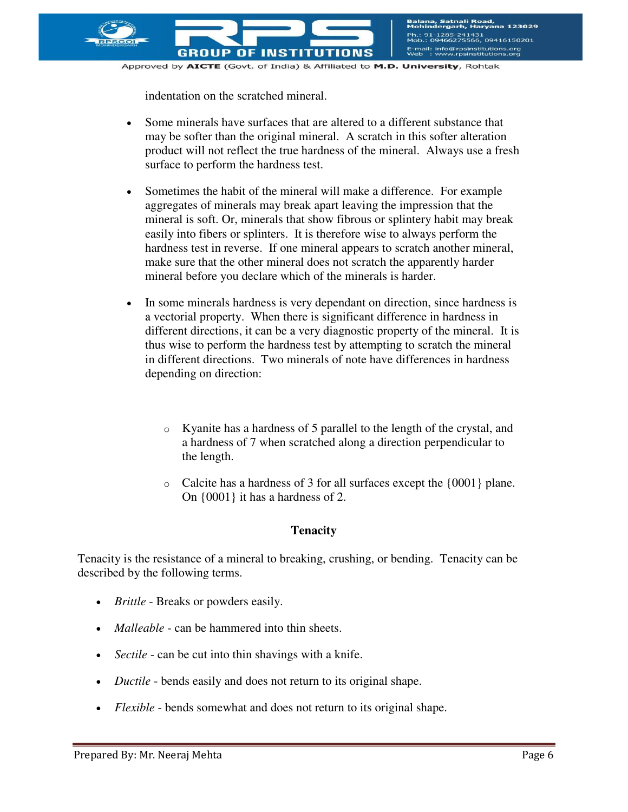

indentation on the scratched mineral.

- Some minerals have surfaces that are altered to a different substance that may be softer than the original mineral. A scratch in this softer alteration product will not reflect the true hardness of the mineral. Always use a fresh surface to perform the hardness test.
- Sometimes the habit of the mineral will make a difference. For example aggregates of minerals may break apart leaving the impression that the mineral is soft. Or, minerals that show fibrous or splintery habit may break easily into fibers or splinters. It is therefore wise to always perform the hardness test in reverse. If one mineral appears to scratch another mineral, make sure that the other mineral does not scratch the apparently harder mineral before you declare which of the minerals is harder.
- In some minerals hardness is very dependant on direction, since hardness is a vectorial property. When there is significant difference in hardness in different directions, it can be a very diagnostic property of the mineral. It is thus wise to perform the hardness test by attempting to scratch the mineral in different directions. Two minerals of note have differences in hardness depending on direction:
	- o Kyanite has a hardness of 5 parallel to the length of the crystal, and a hardness of 7 when scratched along a direction perpendicular to the length.
	- o Calcite has a hardness of 3 for all surfaces except the {0001} plane. On {0001} it has a hardness of 2.

## **Tenacity**

Tenacity is the resistance of a mineral to breaking, crushing, or bending. Tenacity can be described by the following terms.

- *Brittle*  Breaks or powders easily.
- *Malleable* can be hammered into thin sheets.
- *Sectile* can be cut into thin shavings with a knife.
- *Ductile* bends easily and does not return to its original shape.
- *Flexible* bends somewhat and does not return to its original shape.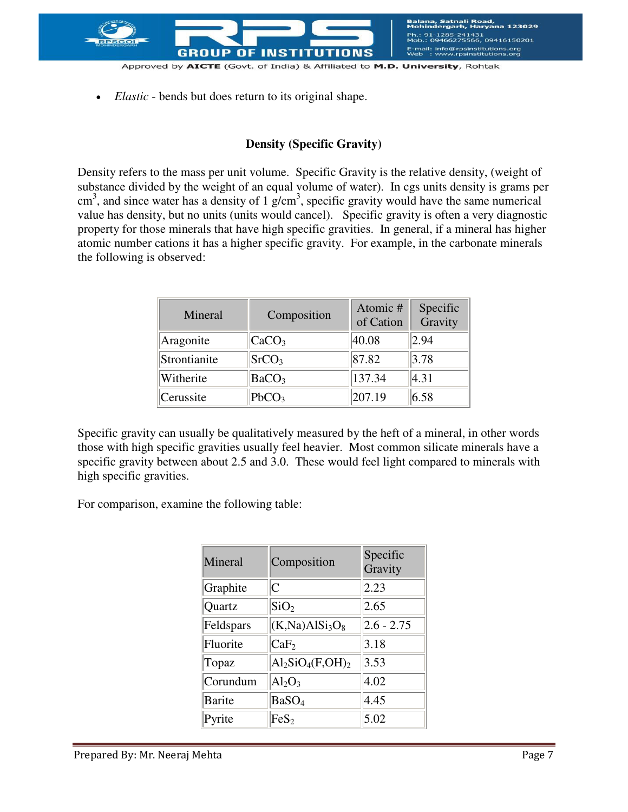

- Approved by AICTE (Govt. of India) & Affiliated to M.D. University, Rohtak
- *Elastic* bends but does return to its original shape.

#### **Density (Specific Gravity)**

Density refers to the mass per unit volume. Specific Gravity is the relative density, (weight of substance divided by the weight of an equal volume of water). In cgs units density is grams per  $\text{cm}^3$ , and since water has a density of 1 g/cm<sup>3</sup>, specific gravity would have the same numerical value has density, but no units (units would cancel). Specific gravity is often a very diagnostic property for those minerals that have high specific gravities. In general, if a mineral has higher atomic number cations it has a higher specific gravity. For example, in the carbonate minerals the following is observed:

| Mineral      | Composition               | Atomic #<br>of Cation | Specific<br>Gravity |
|--------------|---------------------------|-----------------------|---------------------|
| Aragonite    | CaCO <sub>3</sub>         | 40.08                 | 2.94                |
| Strontianite | SrCO <sub>3</sub>         | 87.82                 | 3.78                |
| Witherite    | $\vert$ BaCO <sub>3</sub> | 137.34                | 4.31                |
| Cerussite    | PbCO <sub>3</sub>         | 207.19                | 6.58                |

Specific gravity can usually be qualitatively measured by the heft of a mineral, in other words those with high specific gravities usually feel heavier. Most common silicate minerals have a specific gravity between about 2.5 and 3.0. These would feel light compared to minerals with high specific gravities.

For comparison, examine the following table:

| Mineral       | Composition                             | Specific<br>Gravity |
|---------------|-----------------------------------------|---------------------|
| Graphite      | $\overline{C}$                          | 2.23                |
| Quartz        | SiO <sub>2</sub>                        | 2.65                |
| Feldspars     | (K, Na)A1Si <sub>3</sub> O <sub>8</sub> | $2.6 - 2.75$        |
| Fluorite      | CaF <sub>2</sub>                        | 3.18                |
| Topaz         | $Al_2SiO_4(F,OH)_2$                     | 3.53                |
| Corundum      | $Al_2O_3$                               | $ 4.02\rangle$      |
| <b>Barite</b> | BaSO <sub>4</sub>                       | 4.45                |
| Pyrite        | $\text{FeS}_2$                          | 5.02                |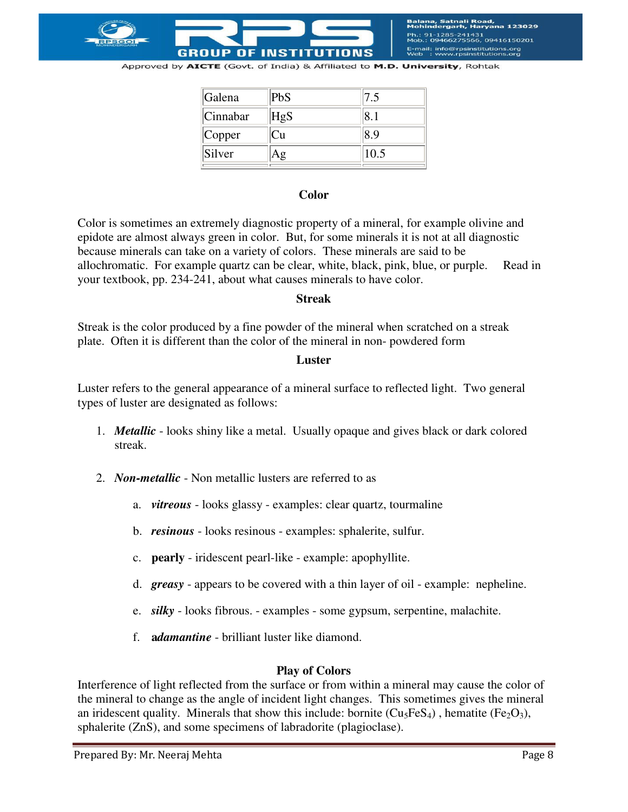

iatnali Road,<br>rgarh, Harvana 123029 41431<br>5566, 09416150201 E-mail: info@rpsinstitutions.org<br>Web : www.rpsinstitutions.org

Approved by AICTE (Govt. of India) & Affiliated to M.D. University, Rohtak

| PbS | 7.5  |
|-----|------|
| HgS |      |
| ∪u  |      |
|     | 10.5 |
|     |      |

#### **Color**

Color is sometimes an extremely diagnostic property of a mineral, for example olivine and epidote are almost always green in color. But, for some minerals it is not at all diagnostic because minerals can take on a variety of colors. These minerals are said to be allochromatic. For example quartz can be clear, white, black, pink, blue, or purple. Read in your textbook, pp. 234-241, about what causes minerals to have color.

#### **Streak**

Streak is the color produced by a fine powder of the mineral when scratched on a streak plate. Often it is different than the color of the mineral in non- powdered form

#### **Luster**

Luster refers to the general appearance of a mineral surface to reflected light. Two general types of luster are designated as follows:

- 1. *Metallic* looks shiny like a metal. Usually opaque and gives black or dark colored streak.
- 2. *Non-metallic* Non metallic lusters are referred to as
	- a. *vitreous* looks glassy examples: clear quartz, tourmaline
	- b. *resinous* looks resinous examples: sphalerite, sulfur.
	- c. **pearly** iridescent pearl-like example: apophyllite.
	- d. *greasy* appears to be covered with a thin layer of oil example: nepheline.
	- e. *silky* looks fibrous. examples some gypsum, serpentine, malachite.
	- f. **a***damantine* brilliant luster like diamond.

#### **Play of Colors**

Interference of light reflected from the surface or from within a mineral may cause the color of the mineral to change as the angle of incident light changes. This sometimes gives the mineral an iridescent quality. Minerals that show this include: bornite  $(Cu_5FeS_4)$ , hematite (Fe<sub>2</sub>O<sub>3</sub>), sphalerite (ZnS), and some specimens of labradorite (plagioclase).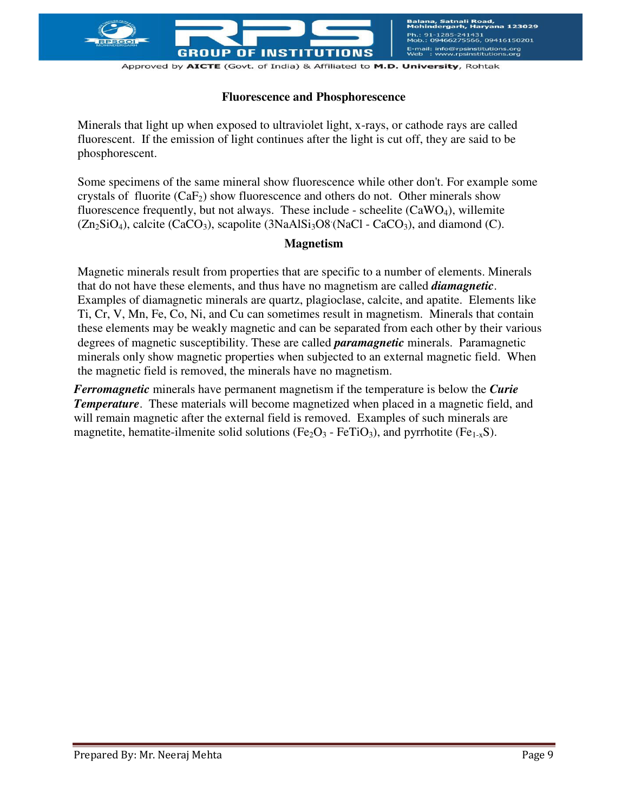

## **Fluorescence and Phosphorescence**

Minerals that light up when exposed to ultraviolet light, x-rays, or cathode rays are called fluorescent. If the emission of light continues after the light is cut off, they are said to be phosphorescent.

Some specimens of the same mineral show fluorescence while other don't. For example some crystals of fluorite  $(CaF_2)$  show fluorescence and others do not. Other minerals show fluorescence frequently, but not always. These include - scheelite  $(CaWO<sub>4</sub>)$ , willemite  $(Zn_2SiO_4)$ , calcite (CaCO<sub>3</sub>), scapolite (3NaAlSi<sub>3</sub>O8 (NaCl - CaCO<sub>3</sub>), and diamond (C).

#### **Magnetism**

Magnetic minerals result from properties that are specific to a number of elements. Minerals that do not have these elements, and thus have no magnetism are called *diamagnetic*. Examples of diamagnetic minerals are quartz, plagioclase, calcite, and apatite. Elements like Ti, Cr, V, Mn, Fe, Co, Ni, and Cu can sometimes result in magnetism. Minerals that contain these elements may be weakly magnetic and can be separated from each other by their various degrees of magnetic susceptibility. These are called *paramagnetic* minerals. Paramagnetic minerals only show magnetic properties when subjected to an external magnetic field. When the magnetic field is removed, the minerals have no magnetism.

*Ferromagnetic* minerals have permanent magnetism if the temperature is below the *Curie Temperature*. These materials will become magnetized when placed in a magnetic field, and will remain magnetic after the external field is removed. Examples of such minerals are magnetite, hematite-ilmenite solid solutions (Fe<sub>2</sub>O<sub>3</sub> - FeTiO<sub>3</sub>), and pyrrhotite (Fe<sub>1-x</sub>S).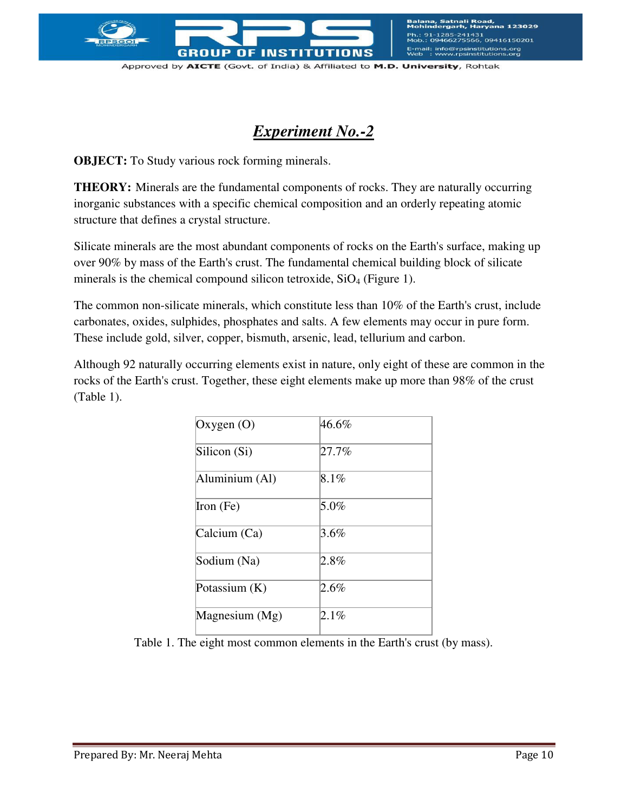

:nali Road,<br>arh, Haryana 123029 1431<br>566, 09416150201 E-mail: info@rpsinstitutions.org<br>Web : www.rpsinstitutions.org

Approved by AICTE (Govt. of India) & Affiliated to M.D. University, Rohtak

## *Experiment No.-2*

**OBJECT:** To Study various rock forming minerals.

**THEORY:** Minerals are the fundamental components of rocks. They are naturally occurring inorganic substances with a specific chemical composition and an orderly repeating atomic structure that defines a crystal structure.

Silicate minerals are the most abundant components of rocks on the Earth's surface, making up over 90% by mass of the Earth's crust. The fundamental chemical building block of silicate minerals is the chemical compound silicon tetroxide,  $SiO<sub>4</sub>$  (Figure 1).

The common non-silicate minerals, which constitute less than 10% of the Earth's crust, include carbonates, oxides, sulphides, phosphates and salts. A few elements may occur in pure form. These include gold, silver, copper, bismuth, arsenic, lead, tellurium and carbon.

Although 92 naturally occurring elements exist in nature, only eight of these are common in the rocks of the Earth's crust. Together, these eight elements make up more than 98% of the crust (Table 1).

| Oxygen $(O)$   | 46.6%   |
|----------------|---------|
| Silicon (Si)   | 27.7%   |
| Aluminium (Al) | 8.1%    |
| Iron $(Fe)$    | 5.0%    |
| Calcium (Ca)   | 3.6%    |
| Sodium (Na)    | 2.8%    |
| Potassium (K)  | $2.6\%$ |
| Magnesium (Mg) | 2.1%    |

Table 1. The eight most common elements in the Earth's crust (by mass).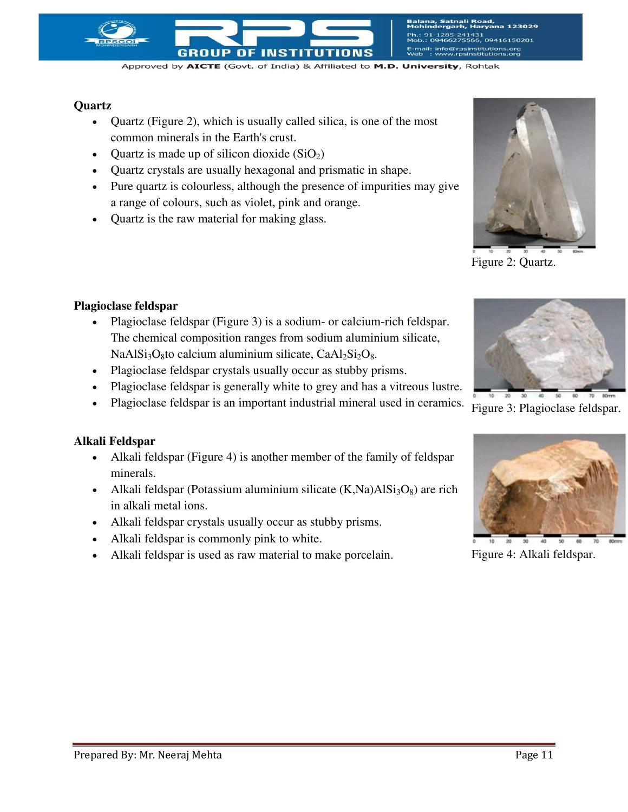

-31<br>56, 09416150201 E-mail: info@rpsinstitutions.org<br>Web : www.rpsinstitutions.org

Approved by AICTE (Govt. of India) & Affiliated to M.D. University, Rohtak

### **Quartz**

- Quartz (Figure 2), which is usually called silica, is one of the most common minerals in the Earth's crust.
- Quartz is made up of silicon dioxide  $(SiO<sub>2</sub>)$
- Quartz crystals are usually hexagonal and prismatic in shape.
- Pure quartz is colourless, although the presence of impurities may give a range of colours, such as violet, pink and orange.

 Plagioclase feldspar (Figure 3) is a sodium- or calcium-rich feldspar. The chemical composition ranges from sodium aluminium silicate,

NaAl $Si<sub>3</sub>O<sub>8</sub>$ to calcium aluminium silicate, CaAl<sub>2</sub>Si<sub>2</sub>O<sub>8</sub>. Plagioclase feldspar crystals usually occur as stubby prisms.

Quartz is the raw material for making glass.



Figure 2: Quartz.



Figure 3: Plagioclase feldspar.



**Plagioclase feldspar** 

 Alkali feldspar (Figure 4) is another member of the family of feldspar minerals.

 Plagioclase feldspar is generally white to grey and has a vitreous lustre. Plagioclase feldspar is an important industrial mineral used in ceramics.

- Alkali feldspar (Potassium aluminium silicate  $(K, Na)AISi<sub>3</sub>O<sub>8</sub>$ ) are rich in alkali metal ions.
- Alkali feldspar crystals usually occur as stubby prisms.
- Alkali feldspar is commonly pink to white.
- Alkali feldspar is used as raw material to make porcelain.



Figure 4: Alkali feldspar.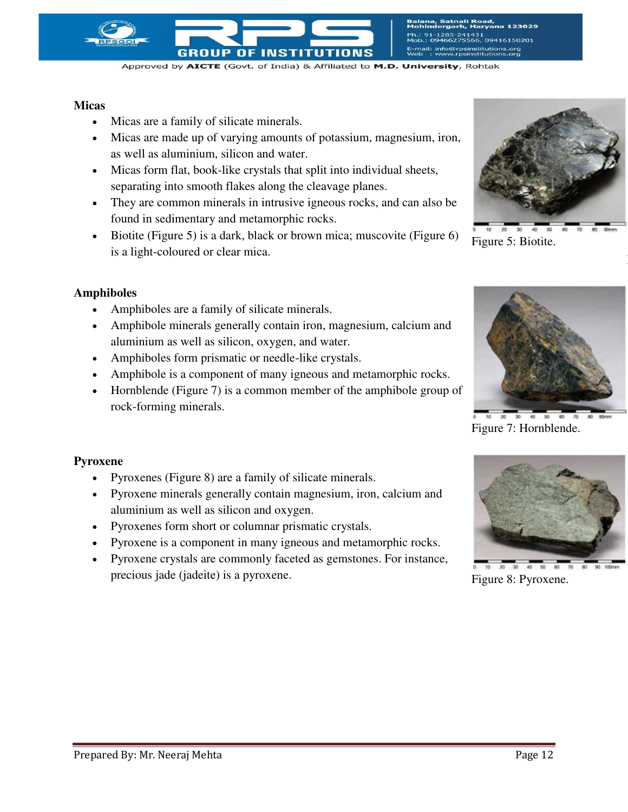

#### **Micas**

- Micas are a family of silicate minerals.
- Micas are made up of varying amounts of potassium, magnesium, iron, as well as aluminium, silicon and water.

**GROUP OF INSTITUTIONS** 

- Micas form flat, book-like crystals that split into individual sheets, separating into smooth flakes along the cleavage planes.
- They are common minerals in intrusive igneous rocks, and can also be found in sedimentary and metamorphic rocks.
- Biotite (Figure 5) is a dark, black or brown mica; muscovite (Figure  $6$ ) is a light-coloured or clear mica.

#### **Amphiboles**

- Amphiboles are a family of silicate minerals.
- Amphibole minerals generally contain iron, magnesium, calcium and aluminium as well as silicon, oxygen, and water.
- Amphiboles form prismatic or needle-like crystals.
- Amphibole is a component of many igneous and metamorphic rocks.
- Hornblende (Figure 7) is a common member of the amphibole group of rock-forming minerals.



F

Figure 5: Biotite.



Figure 7: Hornblende.

#### **Pyroxene**

- Pyroxenes (Figure 8) are a family of silicate minerals.
- Pyroxene minerals generally contain magnesium, iron, calcium and aluminium as well as silicon and oxygen.
- Pyroxenes form short or columnar prismatic crystals.
- Pyroxene is a component in many igneous and metamorphic rocks.
- Pyroxene crystals are commonly faceted as gemstones. For instance, precious jade (jadeite) is a pyroxene.



Figure 8: Pyroxene.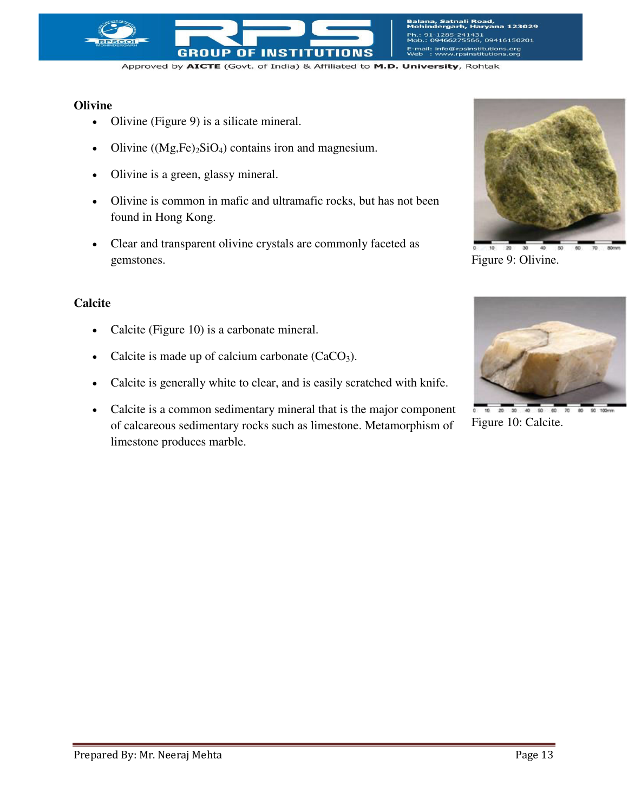

ali Road,<br>h, Haryana 123029 1431<br>566, 09416150201 E-mail: info@rpsinstitutions.org<br>Web : www.rpsinstitutions.org

Approved by AICTE (Govt. of India) & Affiliated to M.D. University, Rohtak

#### **Olivine**

- Olivine (Figure 9) is a silicate mineral.
- Olivine  $((Mg,Fe)_2SiO_4)$  contains iron and magnesium.
- Olivine is a green, glassy mineral.
- Olivine is common in mafic and ultramafic rocks, but has not been found in Hong Kong.
- Clear and transparent olivine crystals are commonly faceted as gemstones.

#### **Calcite**

- Calcite (Figure 10) is a carbonate mineral.
- Calcite is made up of calcium carbonate  $(CaCO<sub>3</sub>)$ .
- Calcite is generally white to clear, and is easily scratched with knife.
- Calcite is a common sedimentary mineral that is the major component of calcareous sedimentary rocks such as limestone. Metamorphism of limestone produces marble.



Figure 9: Olivine.



 $20 - 30$  $\overline{30}$ Figure 10: Calcite.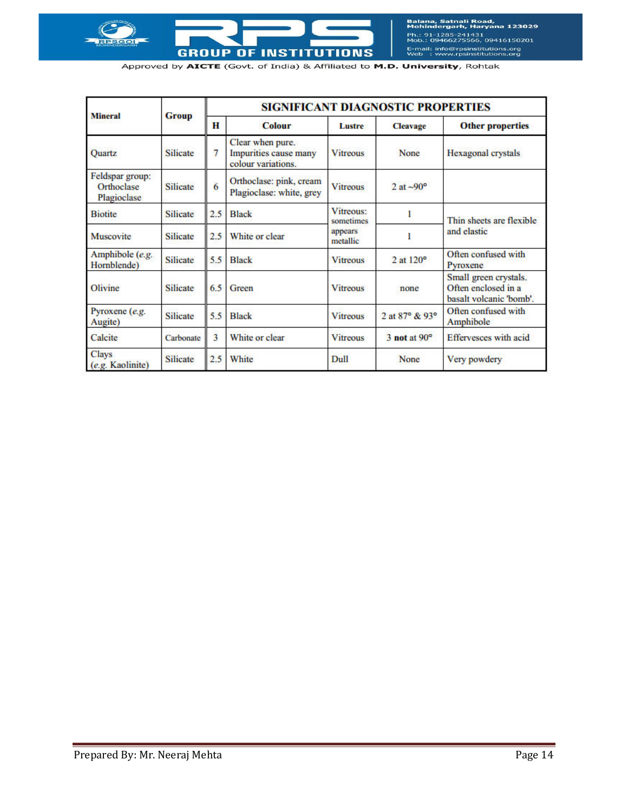

Balana, Satnali Road,<br>Mohindergarh, Haryana 123029 Ph.: 91-1285-241431<br>Mob.: 09466275566, 09416150201 E-mail: info@rpsinstitutions.org<br>Web : www.rpsinstitutions.org

Approved by AICTE (Govt. of India) & Affiliated to M.D. University, Rohtak

|                                              |                 | <b>SIGNIFICANT DIAGNOSTIC PROPERTIES</b> |                                                                 |                                               |                       |                                                                         |
|----------------------------------------------|-----------------|------------------------------------------|-----------------------------------------------------------------|-----------------------------------------------|-----------------------|-------------------------------------------------------------------------|
| <b>Mineral</b><br><b>Group</b>               |                 | H                                        | <b>Colour</b>                                                   | Lustre                                        | <b>Cleavage</b>       | <b>Other properties</b>                                                 |
| Quartz                                       | <b>Silicate</b> | 7                                        | Clear when pure.<br>Impurities cause many<br>colour variations. | <b>Vitreous</b>                               | None                  | Hexagonal crystals                                                      |
| Feldspar group:<br>Orthoclase<br>Plagioclase | <b>Silicate</b> | 6                                        | Orthoclase: pink, cream<br>Plagioclase: white, grey             | <b>Vitreous</b>                               | 2 at $\sim 90^\circ$  |                                                                         |
| <b>Biotite</b>                               | <b>Silicate</b> | 2.5                                      | <b>Black</b>                                                    | Vitreous:<br>sometimes<br>appears<br>metallic |                       | Thin sheets are flexible<br>and elastic                                 |
| Muscovite                                    | <b>Silicate</b> | 2.5                                      | White or clear                                                  |                                               |                       |                                                                         |
| Amphibole (e.g.<br>Hornblende)               | <b>Silicate</b> | 5.5                                      | <b>Black</b>                                                    | <b>Vitreous</b>                               | $2$ at $120^\circ$    | Often confused with<br>Pyroxene                                         |
| Olivine                                      | <b>Silicate</b> | 6.5                                      | Green                                                           | <b>Vitreous</b>                               | none                  | Small green crystals.<br>Often enclosed in a<br>basalt volcanic 'bomb'. |
| Pyroxene (e.g.<br>Augite)                    | <b>Silicate</b> | 5.5                                      | <b>Black</b>                                                    | <b>Vitreous</b>                               | 2 at 87° & 93°        | Often confused with<br>Amphibole                                        |
| Calcite                                      | Carbonate       | 3                                        | White or clear                                                  | <b>Vitreous</b>                               | $3$ not at $90^\circ$ | <b>Effervesces</b> with acid                                            |
| <b>Clays</b><br>(e.g. Kaolinite)             | <b>Silicate</b> | 2.5                                      | White                                                           | Dull                                          | None                  | Very powdery                                                            |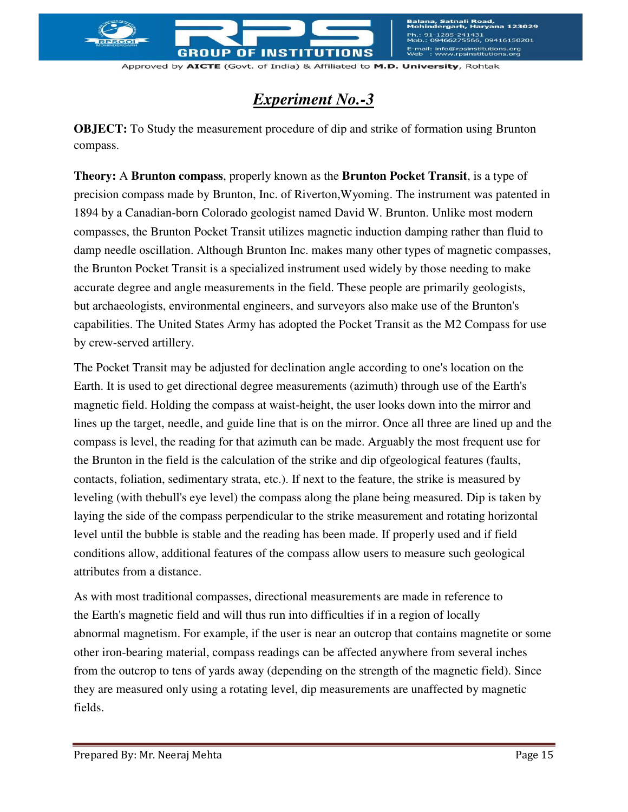

nali Road,<br>arh. Harvana !41431<br>'5566, 09416150201 E-mail: info@rpsinstitutions.org<br>Web : www.rpsinstitutions.org

Approved by AICTE (Govt. of India) & Affiliated to M.D. University, Rohtak

## *Experiment No.-3*

**OBJECT:** To Study the measurement procedure of dip and strike of formation using Brunton compass.

**Theory:** A **Brunton compass**, properly known as the **Brunton Pocket Transit**, is a type of precision [compass](http://en.wikipedia.org/wiki/Compass) made by [Brunton, Inc.](http://en.wikipedia.org/wiki/Brunton,_Inc.) of [Riverton](http://en.wikipedia.org/wiki/Riverton,_WY)[,Wyoming.](http://en.wikipedia.org/wiki/Wyoming) The instrument was patented in 1894 by a Canadian-born Colorado geologist named David W. Brunton. Unlike most modern compasses, the Brunton Pocket Transit utilizes [magnetic induction damping](http://en.wikipedia.org/wiki/Magnetic_damping) rather than fluid to damp needle oscillation. Although Brunton Inc. makes many other types of magnetic compasses, the Brunton Pocket Transit is a specialized instrument used widely by those needing to make accurate degree and angle measurements in the field. These people are primarily [geologists,](http://en.wikipedia.org/wiki/Geologist) but [archaeologists,](http://en.wikipedia.org/wiki/Archaeologist) [environmental engineers,](http://en.wikipedia.org/wiki/Environmental_engineer) and [surveyors](http://en.wikipedia.org/wiki/Surveying) also make use of the Brunton's capabilities. The [United States Army](http://en.wikipedia.org/wiki/United_States_Army) has adopted the Pocket Transit as the M2 Compass for use by crew-served [artillery.](http://en.wikipedia.org/wiki/Artillery)

The Pocket Transit may be adjusted for [declination angle](http://en.wikipedia.org/wiki/Earth%27s_magnetic_field) according to one's location on the Earth. It is used to get directional degree measurements [\(azimuth\)](http://en.wikipedia.org/wiki/Azimuth) through use of the [Earth's](http://en.wikipedia.org/wiki/Earth%27s_magnetic_field)  [magnetic field.](http://en.wikipedia.org/wiki/Earth%27s_magnetic_field) Holding the compass at waist-height, the user looks down into the mirror and lines up the target, needle, and guide line that is on the mirror. Once all three are lined up and the compass is level, the reading for that azimuth can be made. Arguably the most frequent use for the Brunton in the field is the calculation of the [strike and dip](http://en.wikipedia.org/wiki/Strike_and_dip) o[fgeological](http://en.wikipedia.org/wiki/Geology) features [\(faults,](http://en.wikipedia.org/wiki/Fault_\(geology\)) contacts, [foliation,](http://en.wikipedia.org/wiki/Foliation) [sedimentary strata,](http://en.wikipedia.org/wiki/Stratum) etc.). If next to the feature, the strike is measured by leveling (with th[ebull's eye level\)](http://en.wikipedia.org/wiki/Bull%27s_eye_level) the compass along the plane being measured. Dip is taken by laying the side of the compass perpendicular to the strike measurement and rotating horizontal level until the bubble is stable and the reading has been made. If properly used and if field conditions allow, additional features of the compass allow users to measure such geological attributes from a distance.

As with most traditional compasses, directional measurements are made in reference to the [Earth's magnetic field](http://en.wikipedia.org/wiki/Earth%27s_magnetic_field) and will thus run into difficulties if in a region of locally abnormal [magnetism.](http://en.wikipedia.org/wiki/Magnetism) For example, if the user is near an outcrop that contains [magnetite](http://en.wikipedia.org/wiki/Magnetite) or some other [iron-](http://en.wikipedia.org/wiki/Iron)bearing material, compass readings can be affected anywhere from several inches from the [outcrop](http://en.wikipedia.org/wiki/Outcrop) to tens of yards away (depending on the strength of the magnetic field). Since they are measured only using a rotating [level,](http://en.wikipedia.org/wiki/Spirit_level) dip measurements are unaffected by magnetic fields.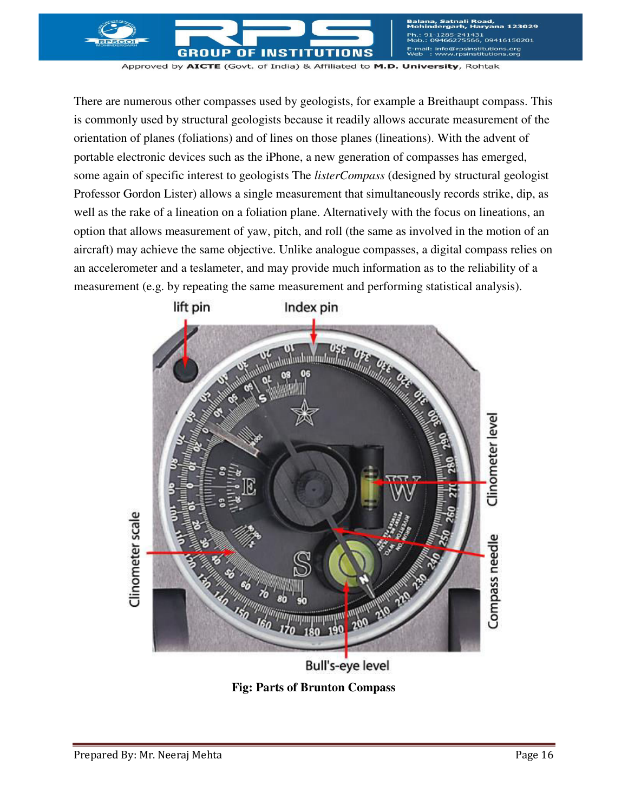51<br>6, 09416150201 E-mail: info@rpsinstitutions.org<br>Web : www.rpsinstitutions.org

Approved by AICTE (Govt. of India) & Affiliated to M.D. University, Rohtak

OF

**INST** 

GROUP

There are numerous other compasses used by geologists, for example a Breithaupt compass. This is commonly used by structural geologists because it readily allows accurate measurement of the orientation of planes (foliations) and of lines on those planes (lineations). With the advent of portable electronic devices such as the iPhone, a new generation of compasses has emerged, some again of specific interest to geologists The *listerCompass* (designed by structural geologist Professor Gordon Lister) allows a single measurement that simultaneously records strike, dip, as well as the rake of a lineation on a foliation plane. Alternatively with the focus on lineations, an option that allows measurement of yaw, pitch, and roll (the same as involved in the motion of an aircraft) may achieve the same objective. Unlike analogue compasses, a digital compass relies on an accelerometer and a teslameter, and may provide much information as to the reliability of a measurement (e.g. by repeating the same measurement and performing statistical analysis).



**Bull's-eye level** 

**Fig: Parts of Brunton Compass**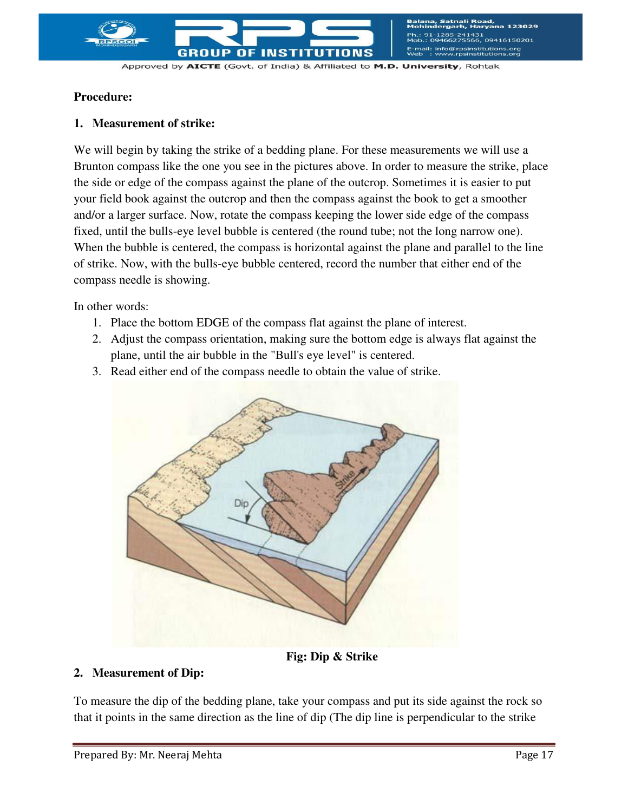

51<br>6, 09416150201 E-mail: info@rpsinstitutions.org<br>Web : www.rpsinstitutions.org

Approved by AICTE (Govt. of India) & Affiliated to M.D. University, Rohtak

#### **Procedure:**

#### **1. Measurement of strike:**

We will begin by taking the strike of a bedding plane. For these measurements we will use a Brunton compass like the one you see in the pictures above. In order to measure the strike, place the side or edge of the compass against the plane of the outcrop. Sometimes it is easier to put your field book against the outcrop and then the compass against the book to get a smoother and/or a larger surface. Now, rotate the compass keeping the lower side edge of the compass fixed, until the bulls-eye level bubble is centered (the round tube; not the long narrow one). When the bubble is centered, the compass is horizontal against the plane and parallel to the line of strike. Now, with the bulls-eye bubble centered, record the number that either end of the compass needle is showing.

In other words:

- 1. Place the bottom EDGE of the compass flat against the plane of interest.
- 2. Adjust the compass orientation, making sure the bottom edge is always flat against the plane, until the air bubble in the "Bull's eye level" is centered.
- 3. Read either end of the compass needle to obtain the value of strike.



**Fig: Dip & Strike** 

## **2. Measurement of Dip:**

To measure the dip of the bedding plane, take your compass and put its side against the rock so that it points in the same direction as the line of dip (The dip line is perpendicular to the strike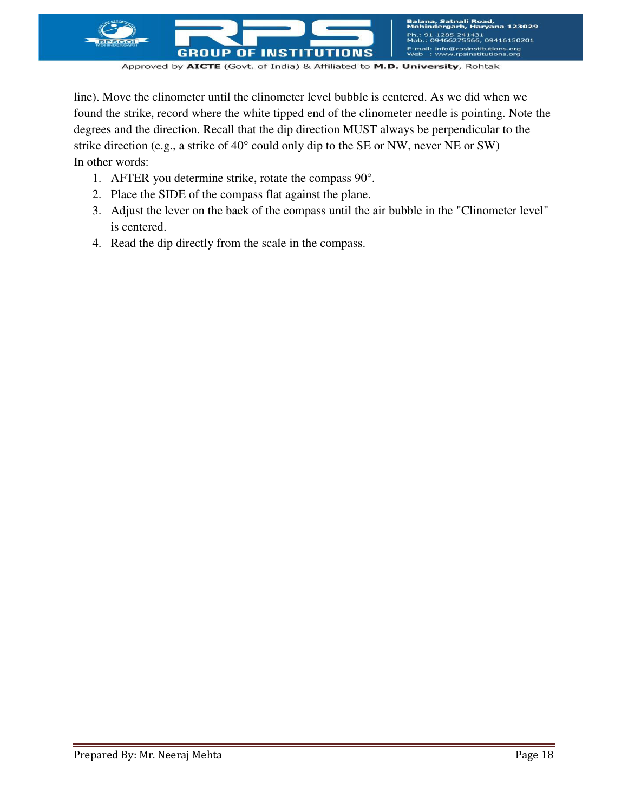

line). Move the clinometer until the clinometer level bubble is centered. As we did when we found the strike, record where the white tipped end of the clinometer needle is pointing. Note the degrees and the direction. Recall that the dip direction MUST always be perpendicular to the strike direction (e.g., a strike of 40° could only dip to the SE or NW, never NE or SW) In other words:

- 1. AFTER you determine strike, rotate the compass 90°.
- 2. Place the SIDE of the compass flat against the plane.
- 3. Adjust the lever on the back of the compass until the air bubble in the "Clinometer level" is centered.
- 4. Read the dip directly from the scale in the compass.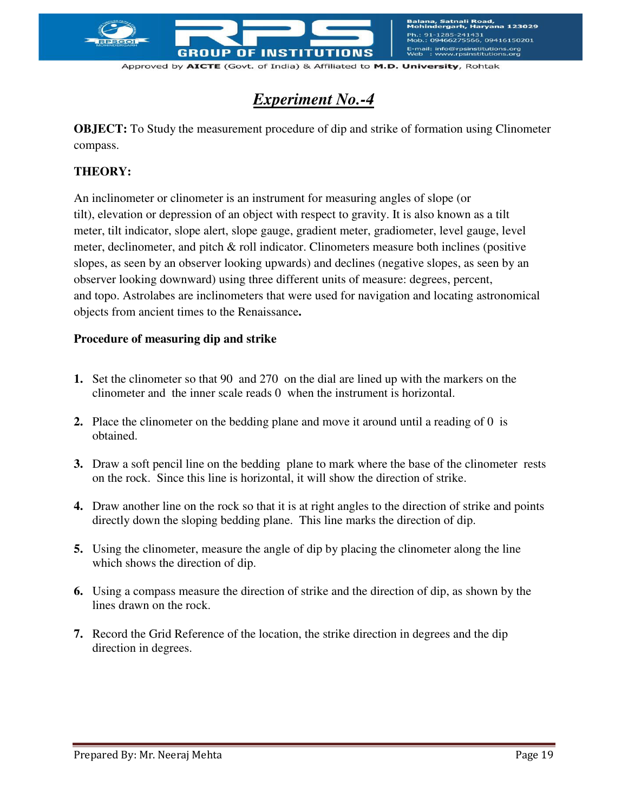

nali Road,<br>arh. Harvana 123029 1431<br>566, 09416150201 E-mail: info@rpsinstitutions.org<br>Web : www.rpsinstitutions.org

Approved by AICTE (Govt. of India) & Affiliated to M.D. University, Rohtak

## *Experiment No.-4*

**OBJECT:** To Study the measurement procedure of dip and strike of formation using Clinometer compass.

## **THEORY:**

An inclinometer or clinometer is an instrument for measuring angles of [slope](http://en.wikipedia.org/wiki/Slope) (or tilt), [elevation](http://en.wikipedia.org/wiki/Elevation) or [depression](http://en.wikipedia.org/wiki/Depression_\(geology\)) of an object with respect to gravity. It is also known as a [tilt](http://en.wikipedia.org/wiki/Tiltmeter)  [meter,](http://en.wikipedia.org/wiki/Tiltmeter) tilt indicator, slope alert, slope gauge, gradient meter, gradiometer, level gauge, level meter, declinometer, and pitch & roll indicator. Clinometers measure both inclines (positive slopes, as seen by an observer looking upwards) and declines (negative slopes, as seen by an observer looking downward) using three different units of measure: [degrees,](http://en.wikipedia.org/wiki/Degree_\(angle\)) [percent,](http://en.wikipedia.org/wiki/Percent) and [topo.](http://en.wikipedia.org/wiki/Topo) [Astrolabes](http://en.wikipedia.org/wiki/Astrolabes) are inclinometers that were used for navigation and locating astronomical objects from ancient times to the Renaissance**.** 

## **Procedure of measuring dip and strike**

- **1.** Set the clinometer so that 90 and 270 on the dial are lined up with the markers on the clinometer and the inner scale reads 0 when the instrument is horizontal.
- **2.** Place the clinometer on the bedding plane and move it around until a reading of 0 is obtained.
- **3.** Draw a soft pencil line on the bedding plane to mark where the base of the clinometer rests on the rock. Since this line is horizontal, it will show the direction of strike.
- **4.** Draw another line on the rock so that it is at right angles to the direction of strike and points directly down the sloping bedding plane. This line marks the direction of dip.
- **5.** Using the clinometer, measure the angle of dip by placing the clinometer along the line which shows the direction of dip.
- **6.** Using a compass measure the direction of strike and the direction of dip, as shown by the lines drawn on the rock.
- **7.** Record the Grid Reference of the location, the strike direction in degrees and the dip direction in degrees.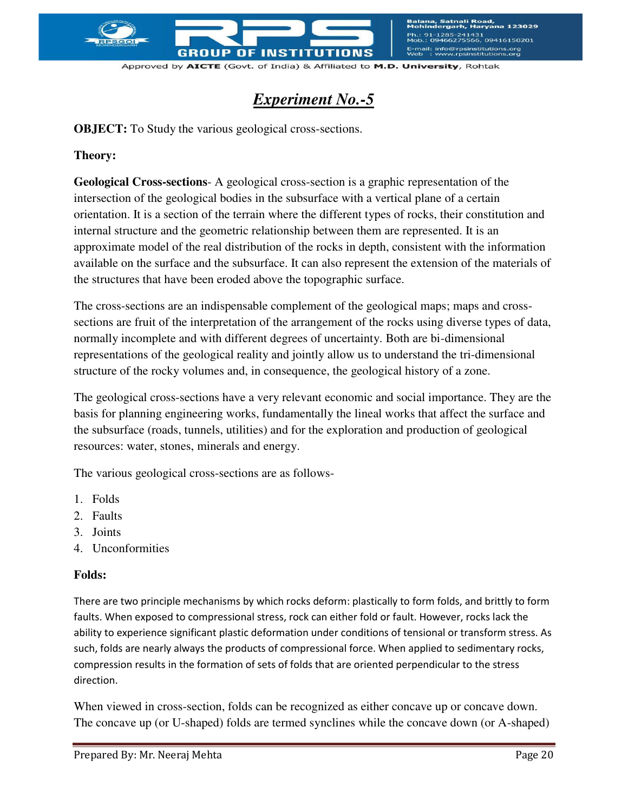

tnali Road,<br>Iarh, Harvana 123029 1431<br>566, 09416150201 E-mail: info@rpsinstitutions.org<br>Web : www.rpsinstitutions.org

Approved by AICTE (Govt. of India) & Affiliated to M.D. University, Rohtak

## *Experiment No.-5*

**OBJECT:** To Study the various geological cross-sections.

### **Theory:**

**Geological Cross-sections**- A geological cross-section is a graphic representation of the intersection of the geological bodies in the subsurface with a vertical plane of a certain orientation. It is a section of the terrain where the different types of rocks, their constitution and internal structure and the geometric relationship between them are represented. It is an approximate model of the real distribution of the rocks in depth, consistent with the information available on the surface and the subsurface. It can also represent the extension of the materials of the structures that have been eroded above the topographic surface.

The cross-sections are an indispensable complement of the geological maps; maps and crosssections are fruit of the interpretation of the arrangement of the rocks using diverse types of data, normally incomplete and with different degrees of uncertainty. Both are bi-dimensional representations of the geological reality and jointly allow us to understand the tri-dimensional structure of the rocky volumes and, in consequence, the geological history of a zone.

The geological cross-sections have a very relevant economic and social importance. They are the basis for planning engineering works, fundamentally the lineal works that affect the surface and the subsurface (roads, tunnels, utilities) and for the exploration and production of geological resources: water, stones, minerals and energy.

The various geological cross-sections are as follows-

- 1. Folds
- 2. Faults
- 3. Joints
- 4. Unconformities

#### **Folds:**

There are two principle mechanisms by which rocks deform: plastically to form folds, and brittly to form faults. When exposed to compressional stress, rock can either fold or fault. However, rocks lack the ability to experience significant plastic deformation under conditions of tensional or transform stress. As such, folds are nearly always the products of compressional force. When applied to sedimentary rocks, compression results in the formation of sets of folds that are oriented perpendicular to the stress direction.

When viewed in cross-section, folds can be recognized as either concave up or concave down. The concave up (or U-shaped) folds are termed synclines while the concave down (or A-shaped)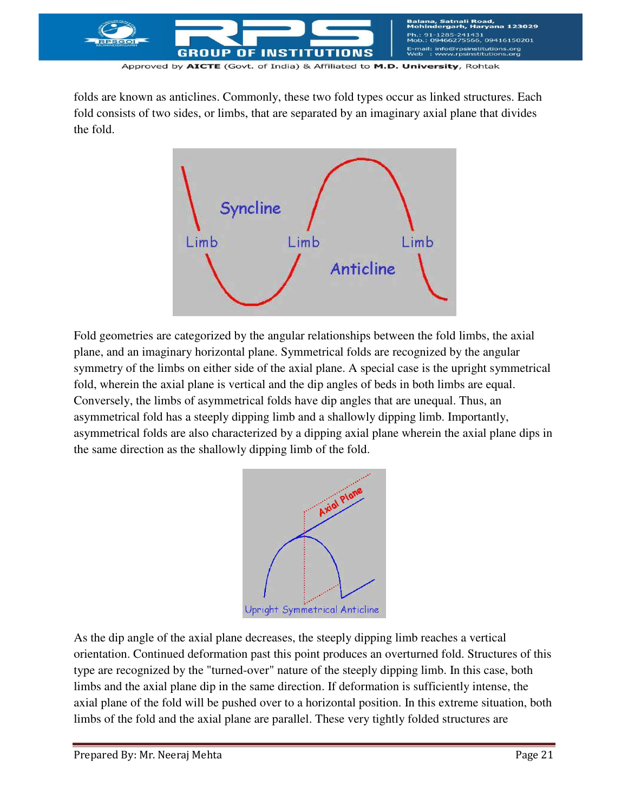

folds are known as anticlines. Commonly, these two fold types occur as linked structures. Each fold consists of two sides, or limbs, that are separated by an imaginary axial plane that divides the fold.



Fold geometries are categorized by the angular relationships between the fold limbs, the axial plane, and an imaginary horizontal plane. Symmetrical folds are recognized by the angular symmetry of the limbs on either side of the axial plane. A special case is the upright symmetrical fold, wherein the axial plane is vertical and the dip angles of beds in both limbs are equal. Conversely, the limbs of asymmetrical folds have dip angles that are unequal. Thus, an asymmetrical fold has a steeply dipping limb and a shallowly dipping limb. Importantly, asymmetrical folds are also characterized by a dipping axial plane wherein the axial plane dips in the same direction as the shallowly dipping limb of the fold.



As the dip angle of the axial plane decreases, the steeply dipping limb reaches a vertical orientation. Continued deformation past this point produces an overturned fold. Structures of this type are recognized by the "turned-over" nature of the steeply dipping limb. In this case, both limbs and the axial plane dip in the same direction. If deformation is sufficiently intense, the axial plane of the fold will be pushed over to a horizontal position. In this extreme situation, both limbs of the fold and the axial plane are parallel. These very tightly folded structures are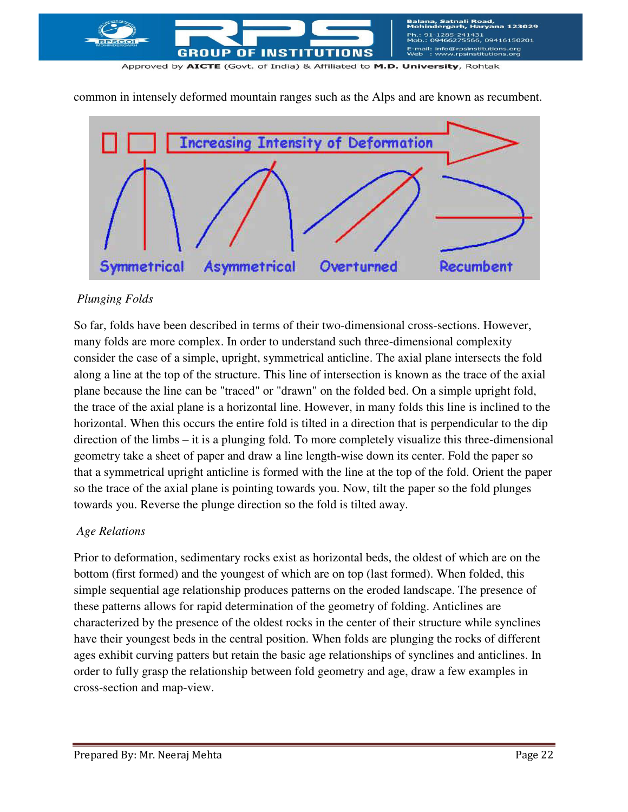

common in intensely deformed mountain ranges such as the Alps and are known as recumbent.



## *Plunging Folds*

So far, folds have been described in terms of their two-dimensional cross-sections. However, many folds are more complex. In order to understand such three-dimensional complexity consider the case of a simple, upright, symmetrical anticline. The axial plane intersects the fold along a line at the top of the structure. This line of intersection is known as the trace of the axial plane because the line can be "traced" or "drawn" on the folded bed. On a simple upright fold, the trace of the axial plane is a horizontal line. However, in many folds this line is inclined to the horizontal. When this occurs the entire fold is tilted in a direction that is perpendicular to the dip direction of the limbs – it is a plunging fold. To more completely visualize this three-dimensional geometry take a sheet of paper and draw a line length-wise down its center. Fold the paper so that a symmetrical upright anticline is formed with the line at the top of the fold. Orient the paper so the trace of the axial plane is pointing towards you. Now, tilt the paper so the fold plunges towards you. Reverse the plunge direction so the fold is tilted away.

## *Age Relations*

Prior to deformation, sedimentary rocks exist as horizontal beds, the oldest of which are on the bottom (first formed) and the youngest of which are on top (last formed). When folded, this simple sequential age relationship produces patterns on the eroded landscape. The presence of these patterns allows for rapid determination of the geometry of folding. Anticlines are characterized by the presence of the oldest rocks in the center of their structure while synclines have their youngest beds in the central position. When folds are plunging the rocks of different ages exhibit curving patters but retain the basic age relationships of synclines and anticlines. In order to fully grasp the relationship between fold geometry and age, draw a few examples in cross-section and map-view.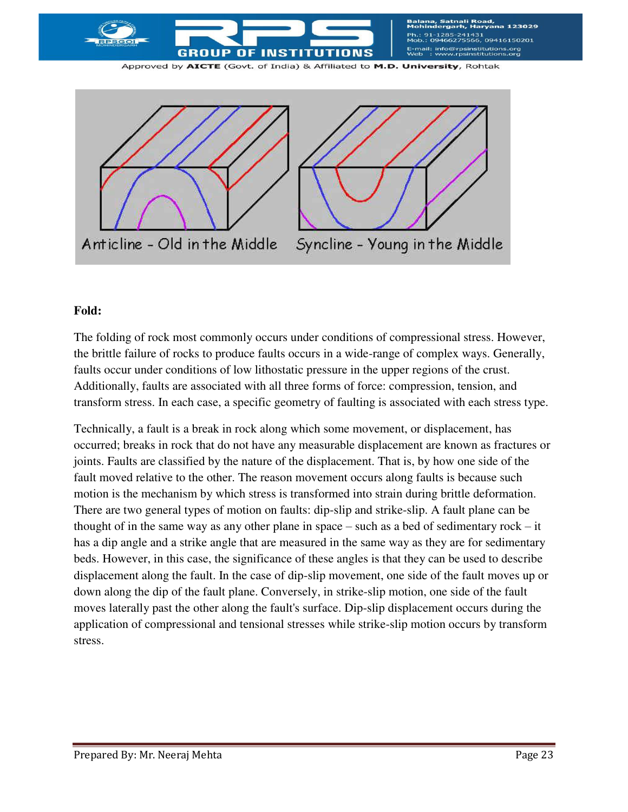



## **Fold:**

The folding of rock most commonly occurs under conditions of compressional stress. However, the brittle failure of rocks to produce faults occurs in a wide-range of complex ways. Generally, faults occur under conditions of low lithostatic pressure in the upper regions of the crust. Additionally, faults are associated with all three forms of force: compression, tension, and transform stress. In each case, a specific geometry of faulting is associated with each stress type.

Technically, a fault is a break in rock along which some movement, or displacement, has occurred; breaks in rock that do not have any measurable displacement are known as fractures or joints. Faults are classified by the nature of the displacement. That is, by how one side of the fault moved relative to the other. The reason movement occurs along faults is because such motion is the mechanism by which stress is transformed into strain during brittle deformation. There are two general types of motion on faults: dip-slip and strike-slip. A fault plane can be thought of in the same way as any other plane in space – such as a bed of sedimentary rock – it has a dip angle and a strike angle that are measured in the same way as they are for sedimentary beds. However, in this case, the significance of these angles is that they can be used to describe displacement along the fault. In the case of dip-slip movement, one side of the fault moves up or down along the dip of the fault plane. Conversely, in strike-slip motion, one side of the fault moves laterally past the other along the fault's surface. Dip-slip displacement occurs during the application of compressional and tensional stresses while strike-slip motion occurs by transform stress.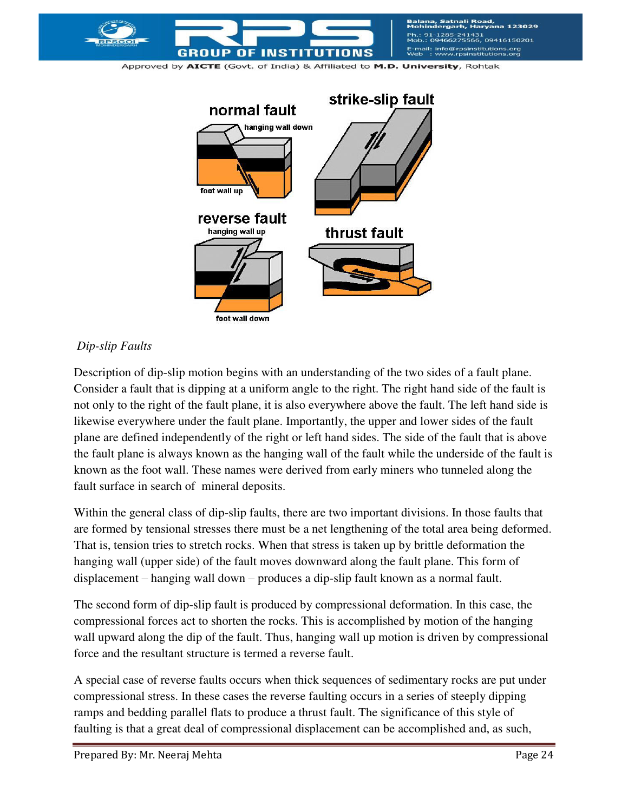



#### *Dip-slip Faults*

Description of dip-slip motion begins with an understanding of the two sides of a fault plane. Consider a fault that is dipping at a uniform angle to the right. The right hand side of the fault is not only to the right of the fault plane, it is also everywhere above the fault. The left hand side is likewise everywhere under the fault plane. Importantly, the upper and lower sides of the fault plane are defined independently of the right or left hand sides. The side of the fault that is above the fault plane is always known as the hanging wall of the fault while the underside of the fault is known as the foot wall. These names were derived from early miners who tunneled along the fault surface in search of mineral deposits.

Within the general class of dip-slip faults, there are two important divisions. In those faults that are formed by tensional stresses there must be a net lengthening of the total area being deformed. That is, tension tries to stretch rocks. When that stress is taken up by brittle deformation the hanging wall (upper side) of the fault moves downward along the fault plane. This form of displacement – hanging wall down – produces a dip-slip fault known as a normal fault.

The second form of dip-slip fault is produced by compressional deformation. In this case, the compressional forces act to shorten the rocks. This is accomplished by motion of the hanging wall upward along the dip of the fault. Thus, hanging wall up motion is driven by compressional force and the resultant structure is termed a reverse fault.

A special case of reverse faults occurs when thick sequences of sedimentary rocks are put under compressional stress. In these cases the reverse faulting occurs in a series of steeply dipping ramps and bedding parallel flats to produce a thrust fault. The significance of this style of faulting is that a great deal of compressional displacement can be accomplished and, as such,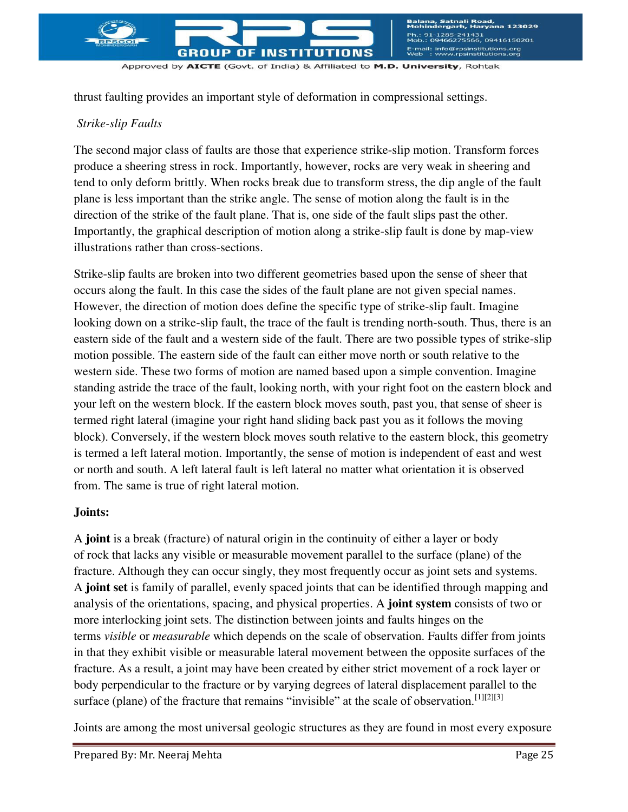

thrust faulting provides an important style of deformation in compressional settings.

## *Strike-slip Faults*

The second major class of faults are those that experience strike-slip motion. Transform forces produce a sheering stress in rock. Importantly, however, rocks are very weak in sheering and tend to only deform brittly. When rocks break due to transform stress, the dip angle of the fault plane is less important than the strike angle. The sense of motion along the fault is in the direction of the strike of the fault plane. That is, one side of the fault slips past the other. Importantly, the graphical description of motion along a strike-slip fault is done by map-view illustrations rather than cross-sections.

Strike-slip faults are broken into two different geometries based upon the sense of sheer that occurs along the fault. In this case the sides of the fault plane are not given special names. However, the direction of motion does define the specific type of strike-slip fault. Imagine looking down on a strike-slip fault, the trace of the fault is trending north-south. Thus, there is an eastern side of the fault and a western side of the fault. There are two possible types of strike-slip motion possible. The eastern side of the fault can either move north or south relative to the western side. These two forms of motion are named based upon a simple convention. Imagine standing astride the trace of the fault, looking north, with your right foot on the eastern block and your left on the western block. If the eastern block moves south, past you, that sense of sheer is termed right lateral (imagine your right hand sliding back past you as it follows the moving block). Conversely, if the western block moves south relative to the eastern block, this geometry is termed a left lateral motion. Importantly, the sense of motion is independent of east and west or north and south. A left lateral fault is left lateral no matter what orientation it is observed from. The same is true of right lateral motion.

## **Joints:**

A **joint** is a break [\(fracture\)](http://en.wikipedia.org/wiki/Fracture_\(geology\)) of natural origin in the continuity of either a layer or body of [rock](http://en.wikipedia.org/wiki/Rock_\(geology\)) that lacks any visible or measurable movement parallel to the surface (plane) of the fracture. Although they can occur singly, they most frequently occur as joint sets and systems. A **joint set** is family of parallel, evenly spaced joints that can be identified through mapping and analysis of the orientations, spacing, and physical properties. A **joint system** consists of two or more interlocking joint sets. The distinction between joints and [faults](http://en.wikipedia.org/wiki/Fault_\(geology\)) hinges on the terms *visible* or *measurable* which depends on the scale of observation. Faults differ from joints in that they exhibit visible or measurable lateral movement between the opposite surfaces of the fracture. As a result, a joint may have been created by either strict movement of a rock layer or body perpendicular to the fracture or by varying degrees of lateral displacement parallel to the surface (plane) of the fracture that remains "invisible" at the scale of observation.<sup>[\[1\]\[2\]](http://en.wikipedia.org/wiki/Joint_\(geology\)#cite_note-Mandl2005a-1)[\[3\]](http://en.wikipedia.org/wiki/Joint_\(geology\)#cite_note-Goudie204a-3)</sup>

Joints are among the most universal geologic structures as they are found in most every exposure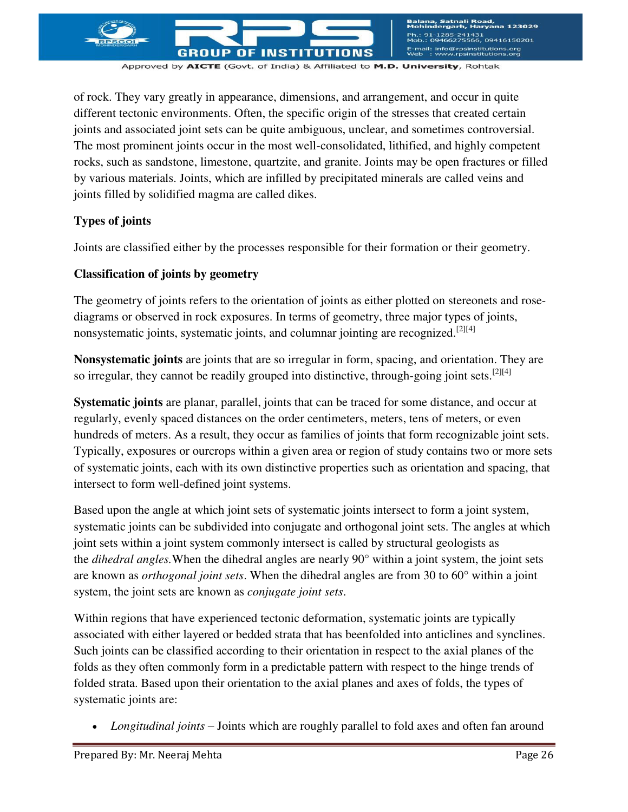

iatnali Road,<br>rgarh, Harvana 123029 !41431<br>'5566, 09416150201 E-mail: info@rpsinstitutions.org<br>Web : www.rpsinstitutions.org

Approved by AICTE (Govt. of India) & Affiliated to M.D. University, Rohtak

of rock. They vary greatly in appearance, dimensions, and arrangement, and occur in quite different [tectonic](http://en.wikipedia.org/wiki/Tectonic) environments. Often, the specific origin of the stresses that created certain joints and associated joint sets can be quite ambiguous, unclear, and sometimes controversial. The most prominent joints occur in the most well-consolidated, lithified, and highly competent rocks, such as [sandstone,](http://en.wikipedia.org/wiki/Sandstone) [limestone,](http://en.wikipedia.org/wiki/Limestone) [quartzite,](http://en.wikipedia.org/wiki/Quartzite) and [granite.](http://en.wikipedia.org/wiki/Granite) Joints may be open fractures or filled by various materials. Joints, which are infilled by precipitated [minerals](http://en.wikipedia.org/wiki/Minerals) are called [veins](http://en.wikipedia.org/wiki/Vein_\(geology\)) and joints filled by solidified [magma](http://en.wikipedia.org/wiki/Magma) are called [dikes.](http://en.wikipedia.org/wiki/Dike_\(geology\))

#### **Types of joints**

Joints are classified either by the processes responsible for their formation or their geometry.

#### **Classification of joints by geometry**

The geometry of joints refers to the orientation of joints as either plotted on [stereonets](http://en.wikipedia.org/wiki/Stereonet) and [rose](http://en.wikipedia.org/wiki/Pie_chart)[diagrams](http://en.wikipedia.org/wiki/Pie_chart) or observed in rock exposures. In terms of geometry, three major types of joints, nonsystematic joints, systematic joints, and [columnar jointing](http://en.wikipedia.org/wiki/Columnar_jointing) are recognized.<sup>[\[2\]\[4\]](http://en.wikipedia.org/wiki/Joint_\(geology\)#cite_note-DavisOthers2012a-2)</sup>

**Nonsystematic joints** are joints that are so irregular in form, spacing, and orientation. They are so irregular, they cannot be readily grouped into distinctive, through-going joint sets.<sup>[\[2\]\[4\]](http://en.wikipedia.org/wiki/Joint_\(geology\)#cite_note-DavisOthers2012a-2)</sup>

**Systematic joints** are planar, parallel, joints that can be traced for some distance, and occur at regularly, evenly spaced distances on the order centimeters, meters, tens of meters, or even hundreds of meters. As a result, they occur as families of joints that form recognizable joint sets. Typically, exposures or ourcrops within a given area or region of study contains two or more sets of systematic joints, each with its own distinctive properties such as orientation and spacing, that intersect to form well-defined joint systems.

Based upon the angle at which joint sets of systematic joints intersect to form a joint system, systematic joints can be subdivided into conjugate and orthogonal joint sets. The angles at which joint sets within a joint system commonly intersect is called by structural geologists as the *dihedral angles.*When the dihedral angles are nearly 90° within a joint system, the joint sets are known as *orthogonal joint sets*. When the dihedral angles are from 30 to 60° within a joint system, the joint sets are known as *conjugate joint sets*.

Within regions that have experienced tectonic deformation, systematic joints are typically associated with either layered or bedded strata that has bee[nfolded](http://en.wikipedia.org/wiki/Fold_\(geology\)) into [anticlines](http://en.wikipedia.org/wiki/Anticline) and [synclines.](http://en.wikipedia.org/wiki/Syncline) Such joints can be classified according to their orientation in respect to the axial planes of the folds as they often commonly form in a predictable pattern with respect to the hinge trends of folded strata. Based upon their orientation to the axial planes and axes of folds, the types of systematic joints are:

*Longitudinal joints* – Joints which are roughly parallel to fold axes and often fan around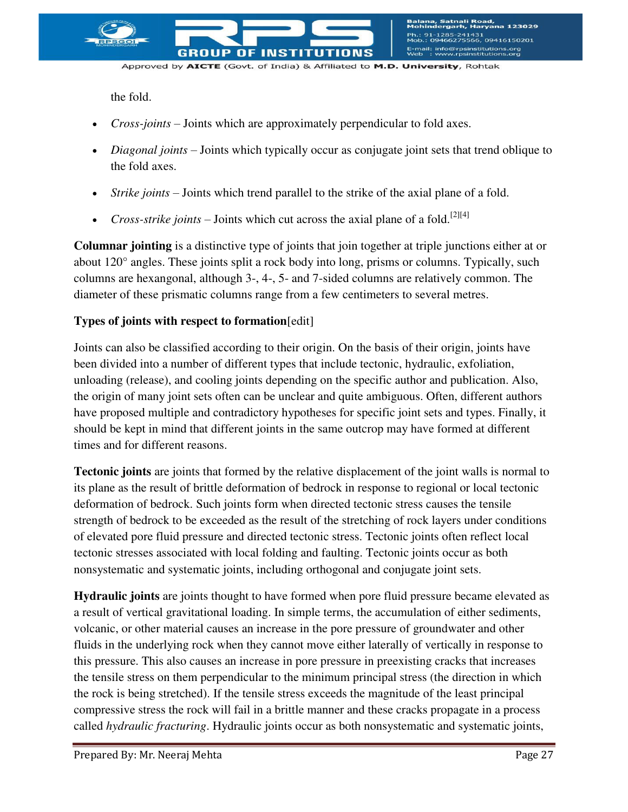

the fold.

- *Cross-joints* Joints which are approximately perpendicular to fold axes.
- *Diagonal joints* Joints which typically occur as conjugate joint sets that trend oblique to the fold axes.
- *Strike joints* Joints which trend parallel to the strike of the axial plane of a fold.
- *Cross-strike joints* Joints which cut across the axial plane of a fold.<sup>[\[2\]\[4\]](http://en.wikipedia.org/wiki/Joint_\(geology\)#cite_note-DavisOthers2012a-2)</sup>

**Columnar jointing** is a distinctive type of joints that join together at triple junctions either at or about 120° angles. These joints split a rock body into long, prisms or columns. Typically, such columns are hexangonal, although 3-, 4-, 5- and 7-sided columns are relatively common. The diameter of these prismatic columns range from a few centimeters to several metres.

## **Types of joints with respect to formation**[\[edit\]](http://en.wikipedia.org/w/index.php?title=Joint_\(geology\)&action=edit§ion=4)

Joints can also be classified according to their origin. On the basis of their origin, joints have been divided into a number of different types that include tectonic, hydraulic, exfoliation, unloading (release), and cooling joints depending on the specific author and publication. Also, the origin of many joint sets often can be unclear and quite ambiguous. Often, different authors have proposed multiple and contradictory hypotheses for specific joint sets and types. Finally, it should be kept in mind that different joints in the same outcrop may have formed at different times and for different reasons.

**Tectonic joints** are joints that formed by the relative displacement of the joint walls is normal to its plane as the result of brittle deformation of bedrock in response to regional or local tectonic deformation of bedrock. Such joints form when directed tectonic stress causes the tensile strength of bedrock to be exceeded as the result of the stretching of rock layers under conditions of elevated pore fluid pressure and directed tectonic stress. Tectonic joints often reflect local tectonic stresses associated with local folding and faulting. Tectonic joints occur as both nonsystematic and systematic joints, including orthogonal and conjugate joint sets.

**Hydraulic joints** are joints thought to have formed when pore fluid pressure became elevated as a result of vertical gravitational loading. In simple terms, the accumulation of either sediments, volcanic, or other material causes an increase in the pore pressure of groundwater and other fluids in the underlying rock when they cannot move either laterally of vertically in response to this pressure. This also causes an increase in pore pressure in preexisting cracks that increases the tensile stress on them perpendicular to the minimum principal stress (the direction in which the rock is being stretched). If the tensile stress exceeds the magnitude of the least principal compressive stress the rock will fail in a brittle manner and these cracks propagate in a process called *[hydraulic fracturing](http://en.wikipedia.org/wiki/Hydraulic_fracturing)*. Hydraulic joints occur as both nonsystematic and systematic joints,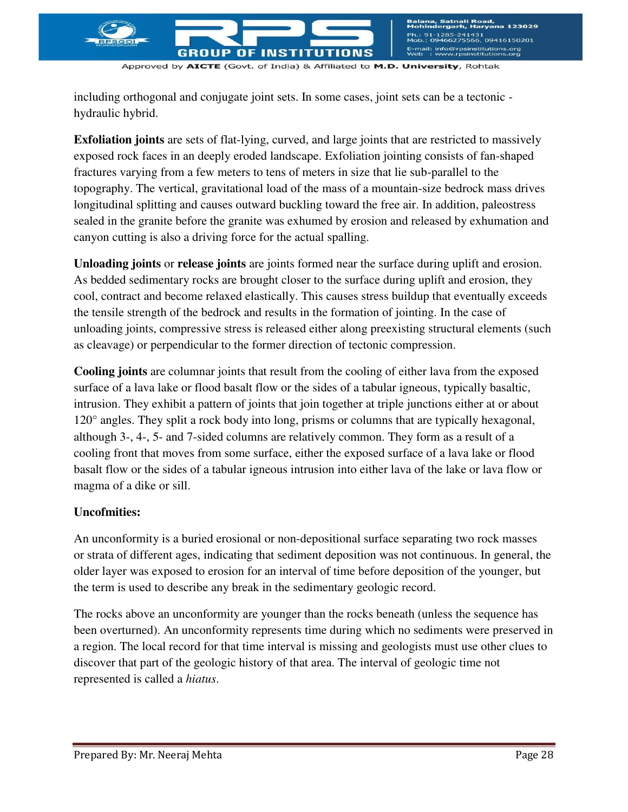including orthogonal and conjugate joint sets. In some cases, joint sets can be a tectonic hydraulic hybrid.

**Exfoliation joints** are sets of flat-lying, curved, and large joints that are restricted to massively exposed rock faces in an deeply eroded landscape. [Exfoliation jointing](http://en.wikipedia.org/wiki/Exfoliation_joints) consists of fan-shaped fractures varying from a few meters to tens of meters in size that lie sub-parallel to the topography. The vertical, gravitational load of the mass of a mountain-size bedrock mass drives longitudinal splitting and causes outward buckling toward the free air. In addition, paleostress sealed in the granite before the granite was exhumed by erosion and released by exhumation and canyon cutting is also a driving force for the actual spalling.

**Unloading joints** or **release joints** are joints formed near the surface during uplift and erosion. As bedded sedimentary rocks are brought closer to the surface during uplift and erosion, they cool, contract and become relaxed elastically. This causes stress buildup that eventually exceeds the tensile strength of the bedrock and results in the formation of jointing. In the case of unloading joints, compressive stress is released either along preexisting structural elements (such as cleavage) or perpendicular to the former direction of tectonic compression.

**Cooling joints** are columnar joints that result from the cooling of either lava from the exposed surface of a lava lake or flood basalt flow or the sides of a tabular igneous, typically basaltic, intrusion. They exhibit a pattern of joints that join together at triple junctions either at or about 120° angles. They split a rock body into long, prisms or columns that are typically hexagonal, although 3-, 4-, 5- and 7-sided columns are relatively common. They form as a result of a cooling front that moves from some surface, either the exposed surface of a lava lake or flood basalt flow or the sides of a tabular igneous intrusion into either lava of the lake or lava flow or magma of a dike or sill.

## **Uncofmities:**

An unconformity is a buried [erosional](http://en.wikipedia.org/wiki/Erosional) or non-depositional surface separating two [rock](http://en.wikipedia.org/wiki/Rock_\(geology\)) masses or [strata](http://en.wikipedia.org/wiki/Stratum) of different ages, indicating that [sediment](http://en.wikipedia.org/wiki/Sediment) deposition was not continuous. In general, the older layer was exposed to erosion for an interval of time before deposition of the younger, but the term is used to describe any break in the [sedimentary](http://en.wikipedia.org/wiki/Sedimentary_rocks) [geologic record.](http://en.wikipedia.org/wiki/Geologic_record)

The rocks above an unconformity are younger than the rocks beneath (unless the sequence has been overturned). An unconformity represents [time](http://en.wikipedia.org/wiki/Geologic_time) during which no sediments were preserved in a region. The local record for that time interval is missing and geologists must use other clues to discover that part of the geologic history of that area. The interval of geologic time not represented is called a *hiatus*.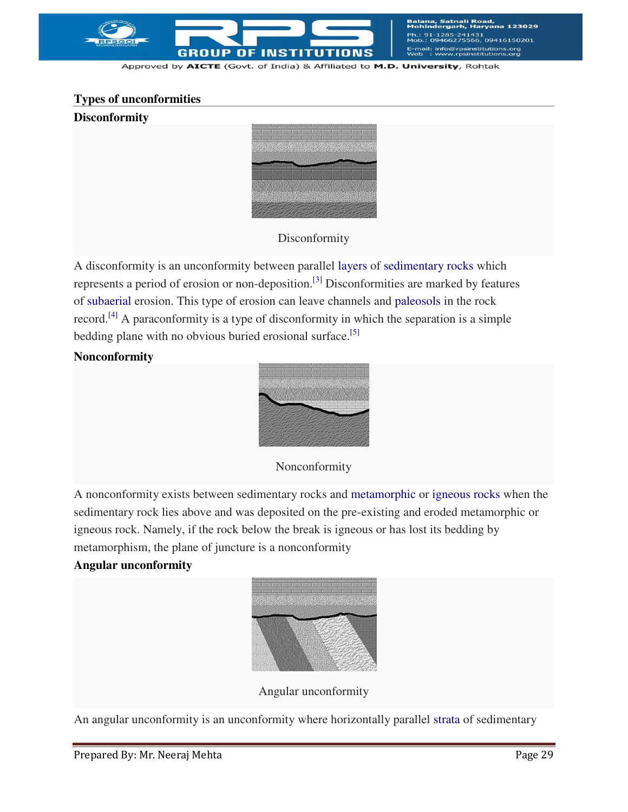

nali Road,<br>arh. Harvana 123029 131<br>56, 09416150201 E-mail: info@rpsinstitutions.org<br>Web : www.rpsinstitutions.org

Approved by AICTE (Govt. of India) & Affiliated to M.D. University, Rohtak

## **Types of unconformities**

#### **Disconformity**



Disconformity

A disconformity is an unconformity between parallel [layers](http://en.wikipedia.org/wiki/Stratum) of [sedimentary rocks](http://en.wikipedia.org/wiki/Sedimentary_rocks) which represents a period of erosion or non-deposition.[\[3\]](http://en.wikipedia.org/wiki/Unconformity#cite_note-Monroe-3) Disconformities are marked by features of [subaerial](http://en.wikipedia.org/wiki/Subaerial) erosion. This type of erosion can leave channels and [paleosols](http://en.wikipedia.org/wiki/Paleosols) in the rock record.[\[4\]](http://en.wikipedia.org/wiki/Unconformity#cite_note-4) A paraconformity is a type of disconformity in which the separation is a simple bedding plane with no obvious buried erosional surface.<sup>[\[5\]](http://en.wikipedia.org/wiki/Unconformity#cite_note-5)</sup>

#### **Nonconformity**



Nonconformity

A nonconformity exists between sedimentary rocks and [metamorphic](http://en.wikipedia.org/wiki/Metamorphic_rocks) or [igneous rocks](http://en.wikipedia.org/wiki/Igneous_rocks) when the sedimentary rock lies above and was deposited on the pre-existing and eroded metamorphic or igneous rock. Namely, if the rock below the break is igneous or has lost its bedding by metamorphism, the plane of juncture is a nonconformity

#### **Angular unconformity**



Angular unconformity

An angular unconformity is an unconformity where horizontally parallel [strata](http://en.wikipedia.org/wiki/Stratum) of sedimentary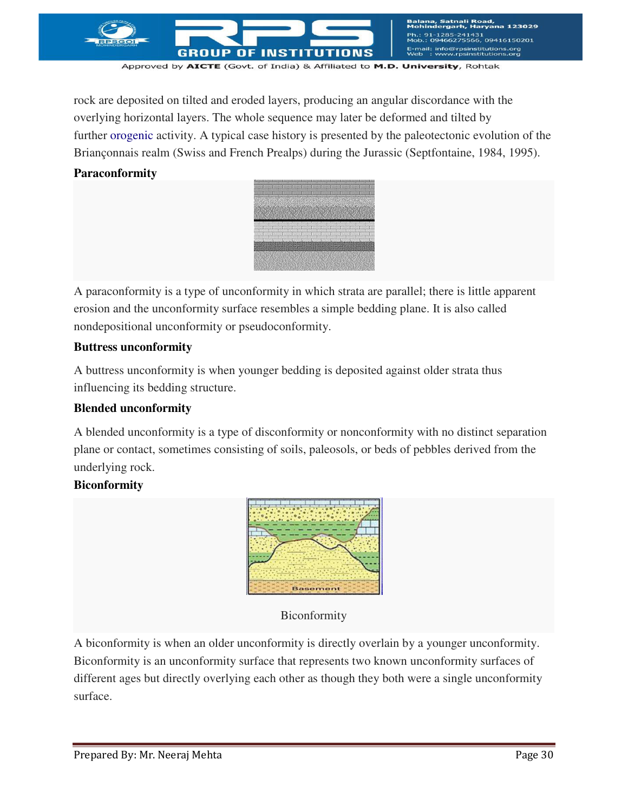

rock are deposited on tilted and eroded layers, producing an angular discordance with the overlying horizontal layers. The whole sequence may later be deformed and tilted by further [orogenic](http://en.wikipedia.org/wiki/Orogeny) activity. A typical case history is presented by the paleotectonic evolution of the Briançonnais realm (Swiss and French Prealps) during the Jurassic (Septfontaine, 1984, 1995).

#### **Paraconformity**



A paraconformity is a type of unconformity in which strata are parallel; there is little apparent erosion and the unconformity surface resembles a simple bedding plane. It is also called nondepositional unconformity or pseudoconformity.

#### **Buttress unconformity**

A buttress unconformity is when younger bedding is deposited against older strata thus influencing its bedding structure.

#### **Blended unconformity**

A blended unconformity is a type of disconformity or nonconformity with no distinct separation plane or contact, sometimes consisting of soils, paleosols, or beds of pebbles derived from the underlying rock.

#### **Biconformity**



#### Biconformity

A biconformity is when an older unconformity is directly overlain by a younger unconformity. Biconformity is an unconformity surface that represents two known unconformity surfaces of different ages but directly overlying each other as though they both were a single unconformity surface.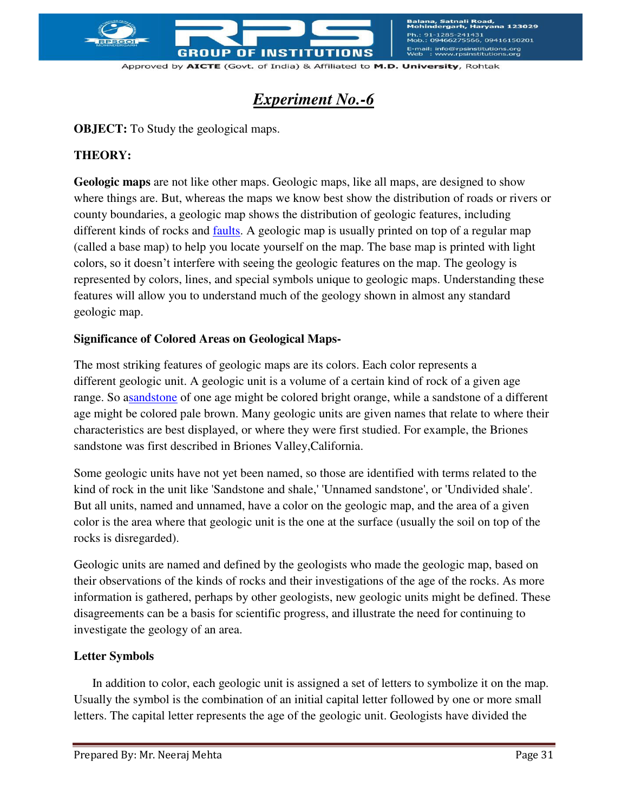

a, Satnali Road<mark>,</mark><br>dergarh, Harvana 123029 241431<br>75566, 09416150201 E-mail: info@rpsinstitutions.org<br>Web : www.rpsinstitutions.org

Approved by AICTE (Govt. of India) & Affiliated to M.D. University, Rohtak

## *Experiment No.-6*

**OBJECT:** To Study the geological maps.

## **THEORY:**

**Geologic maps** are not like other maps. Geologic maps, like all maps, are designed to show where things are. But, whereas the maps we know best show the distribution of roads or rivers or county boundaries, a geologic map shows the distribution of geologic features, including different kinds of rocks and [faults.](http://www.nature.nps.gov/geology/usgsnps/misc/glossaryDtoI.html#fault) A geologic map is usually printed on top of a regular map (called a base map) to help you locate yourself on the map. The base map is printed with light colors, so it doesn't interfere with seeing the geologic features on the map. The geology is represented by colors, lines, and special symbols unique to geologic maps. Understanding these features will allow you to understand much of the geology shown in almost any standard geologic map.

## **Significance of Colored Areas on Geological Maps-**

The most striking features of geologic maps are its colors. Each color represents a different geologic unit. A geologic unit is a volume of a certain kind of rock of a given age range. So [asandstone](http://www.nature.nps.gov/geology/usgsnps/misc/glossaryStoZ.html#sandstone) of one age might be colored bright orange, while a sandstone of a different age might be colored pale brown. Many geologic units are given names that relate to where their characteristics are best displayed, or where they were first studied. For example, the Briones sandstone was first described in Briones Valley,California.

Some geologic units have not yet been named, so those are identified with terms related to the kind of rock in the unit like 'Sandstone and shale,' 'Unnamed sandstone', or 'Undivided shale'. But all units, named and unnamed, have a color on the geologic map, and the area of a given color is the area where that geologic unit is the one at the surface (usually the soil on top of the rocks is disregarded).

Geologic units are named and defined by the geologists who made the geologic map, based on their observations of the kinds of rocks and their investigations of the age of the rocks. As more information is gathered, perhaps by other geologists, new geologic units might be defined. These disagreements can be a basis for scientific progress, and illustrate the need for continuing to investigate the geology of an area.

## **Letter Symbols**

 In addition to color, each geologic unit is assigned a set of letters to symbolize it on the map. Usually the symbol is the combination of an initial capital letter followed by one or more small letters. The capital letter represents the [age of the geologic unit.](http://www.nature.nps.gov/geology/usgsnps/gtime/gtime1.html) Geologists have divided the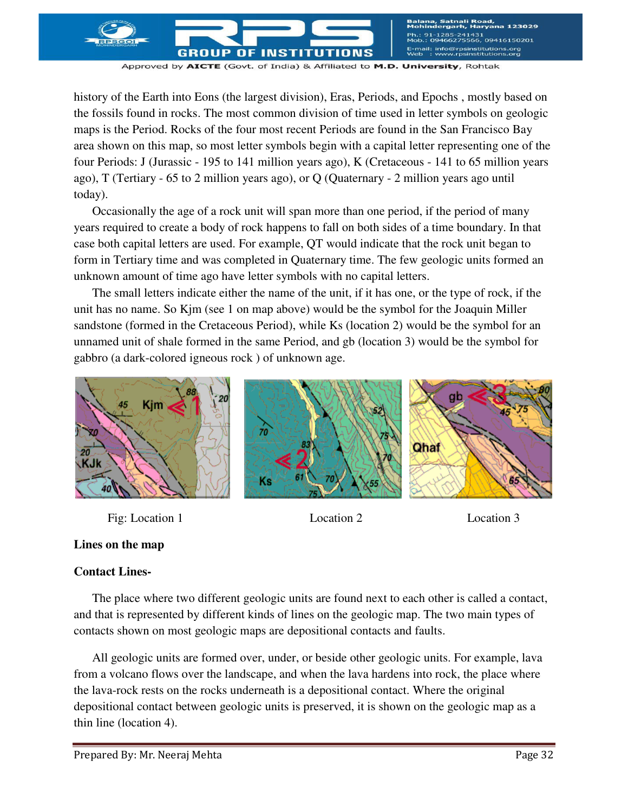,<br>,09416150201 rpsinstitutions.org<br>rpsinstitutions.org GROUP  $0F$ **INST** 

Approved by AICTE (Govt. of India) & Affiliated to M.D. University, Rohtak

history of the Earth into [Eons \(the largest division\), Eras, Periods, and Epochs ,](http://www.nature.nps.gov/geology/usgsnps/gtime/timescale.html) mostly based on the fossils found in rocks. The most common division of time used in letter symbols on geologic maps is the Period. Rocks of the four most recent Periods are found in the San Francisco Bay area shown on this map, so most letter symbols begin with a capital letter representing one of the four Periods: J [\(Jurassic](http://www.nature.nps.gov/geology/usgsnps/gtime/timescale.html) - 195 to 141 million years ago), K [\(Cretaceous](http://www.nature.nps.gov/geology/usgsnps/gtime/timescale.html) - 141 to 65 million years ago), T [\(Tertiary](http://www.nature.nps.gov/geology/usgsnps/gtime/timescale.html) - 65 to 2 million years ago), or Q [\(Quaternary](http://www.nature.nps.gov/geology/usgsnps/gtime/timescale.html) - 2 million years ago until today).

 Occasionally the age of a rock unit will span more than one period, if the period of many years required to create a body of rock happens to fall on both sides of a time boundary. In that case both capital letters are used. For example, QT would indicate that the rock unit began to form in Tertiary time and was completed in Quaternary time. The few geologic units formed an unknown amount of time ago have letter symbols with no capital letters.

 The small letters indicate either the name of the unit, if it has one, or the type of rock, if the unit has no name. So Kjm (see 1 on map above) would be the symbol for the Joaquin Miller sandstone (formed in the Cretaceous Period), while Ks (location 2) would be the symbol for an unnamed unit of shale formed in the same Period, and gb (location 3) would be the symbol for gabbro (a dark-colored [igneous rock \)](http://www.nature.nps.gov/geology/usgsnps/misc/glossaryDtoI.html#igneous) of unknown age.



Fig: Location 1 Location 2 Location 3



## **Lines on the map**

#### **Contact Lines-**

The place where two different geologic units are found next to each other is called a contact, and that is represented by different kinds of lines on the geologic map. The two main types of contacts shown on most geologic maps are [depositional contacts](http://www.nature.nps.gov/geology/usgsnps/gmap/gmap2.html#depositionalcontact) and [faults.](http://www.nature.nps.gov/geology/usgsnps/misc/glossaryDtoI.html#fault)

 All geologic units are formed over, under, or beside other geologic units. For example, lava from a volcano flows over the landscape, and when the lava hardens into rock, the place where the lava-rock rests on the rocks underneath is a depositional contact. Where the original depositional contact between geologic units is preserved, it is shown on the geologic map as a thin line (location 4).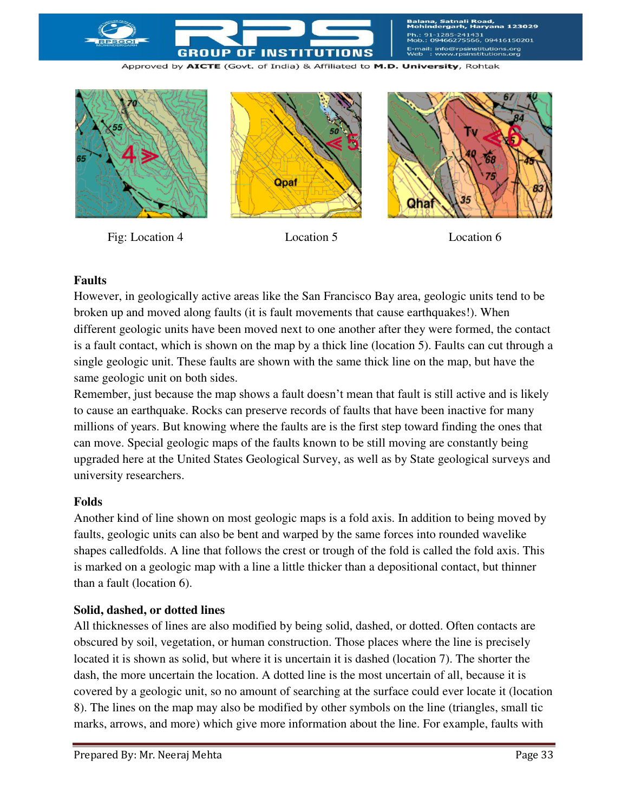

Satnali Road,<br>ergarh, Harvana 123029 !41431<br>'5566, 09416150201 E-mail: info@rpsinstitutions.org<br>Web : www.rpsinstitutions.org

Approved by AICTE (Govt. of India) & Affiliated to M.D. University, Rohtak



Fig: Location 4 Location 5 Location 6

#### **Faults**

However, in geologically active areas like the San Francisco Bay area, geologic units tend to be broken up and moved along [faults](http://www.nature.nps.gov/geology/usgsnps/misc/glossaryDtoI.html#fault) (it is fault movements that cause [earthquakes!](http://www.nature.nps.gov/geology/usgsnps/misc/glossaryDtoI.html#earthquake)). When different geologic units have been moved next to one another after they were formed, the contact is a fault contact, which is shown on the map by a thick line (location 5). Faults can cut through a single geologic unit. These faults are shown with the same thick line on the map, but have the same geologic unit on both sides.

Remember, just because the map shows a fault doesn't mean that fault is still active and is likely to cause an earthquake. Rocks can preserve records of faults that have been inactive for many millions of years. But knowing where the faults are is the first step toward finding the ones that can move. Special geologic maps of the faults known to be still moving are constantly being upgraded here at the United States Geological Survey, as well as by State geological surveys and university researchers.

#### **Folds**

Another kind of line shown on most geologic maps is a fold axis. In addition to being moved by faults, geologic units can also be bent and warped by the same forces into rounded wavelike shapes calledfolds. A line that follows the crest or trough of the fold is called the fold axis. This is marked on a geologic map with a line a little thicker than a depositional contact, but thinner than a fault (location 6).

#### **Solid, dashed, or dotted lines**

All thicknesses of lines are also modified by being solid, dashed, or dotted. Often contacts are obscured by soil, vegetation, or human construction. Those places where the line is precisely located it is shown as solid, but where it is uncertain it is dashed (location 7). The shorter the dash, the more uncertain the location. A dotted line is the most uncertain of all, because it is covered by a geologic unit, so no amount of searching at the surface could ever locate it (location 8). The lines on the map may also be modified by other symbols on the line (triangles, small tic marks, arrows, and more) which give more information about the line. For example, faults with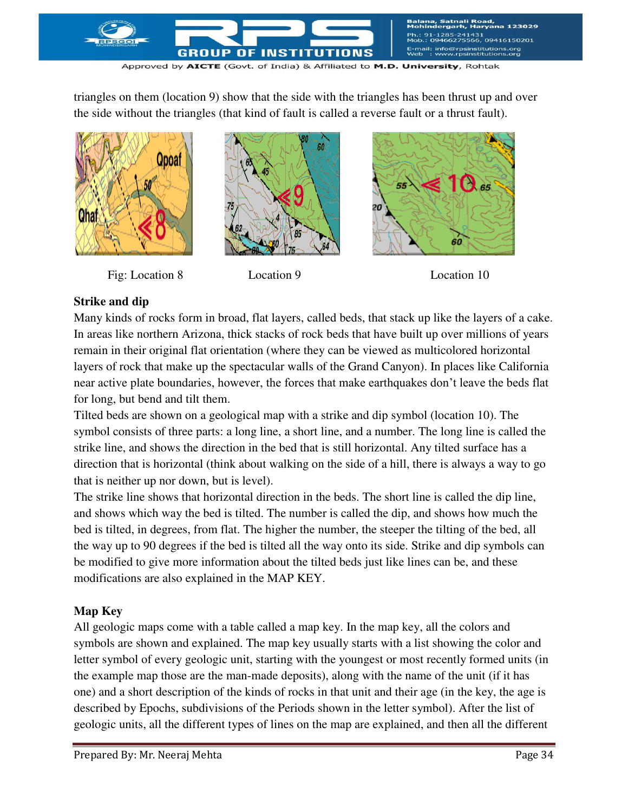

triangles on them (location 9) show that the side with the triangles has been thrust up and over the side without the triangles (that kind of fault is called a reverse fault or a thrust fault).



Fig: Location 8 Location 9 Location 10





## **Strike and dip**

Many kinds of rocks form in broad, flat layers, called beds, that stack up like the layers of a cake. In areas like northern Arizona, thick stacks of rock beds that have built up over millions of years remain in their original flat orientation (where they can be viewed as multicolored horizontal layers of rock that make up the spectacular walls of the Grand Canyon). In places like California near [active plate boundaries](http://www.nature.nps.gov/geology/usgsnps/pltec/pltec1.html#plates), however, the forces that make earthquakes don't leave the beds flat for long, but bend and tilt them.

Tilted beds are shown on a geological map with a strike and dip symbol (location 10). The symbol consists of three parts: a long line, a short line, and a number. The long line is called the strike line, and shows the direction in the bed that is still horizontal. Any tilted surface has a direction that is horizontal (think about walking on the side of a hill, there is always a way to go that is neither up nor down, but is level).

The strike line shows that horizontal direction in the beds. The short line is called the dip line, and shows which way the bed is tilted. The number is called the dip, and shows how much the bed is tilted, in degrees, from flat. The higher the number, the steeper the tilting of the bed, all the way up to 90 degrees if the bed is tilted all the way onto its side. Strike and dip symbols can be modified to give more information about the tilted beds just like lines can be, and these modifications are also explained in the MAP KEY.

## **Map Key**

All geologic maps come with a table called a map key. In the map key, all the colors and symbols are shown and explained. The map key usually starts with a list showing the color and letter symbol of every geologic unit, starting with the youngest or most recently formed units (in the example map those are the man-made deposits), along with the name of the unit (if it has one) and a short description of the kinds of rocks in that unit and their age (in the key, the age is described by Epochs, subdivisions of the Periods shown in the letter symbol). After the list of geologic units, all the different types of lines on the map are explained, and then all the different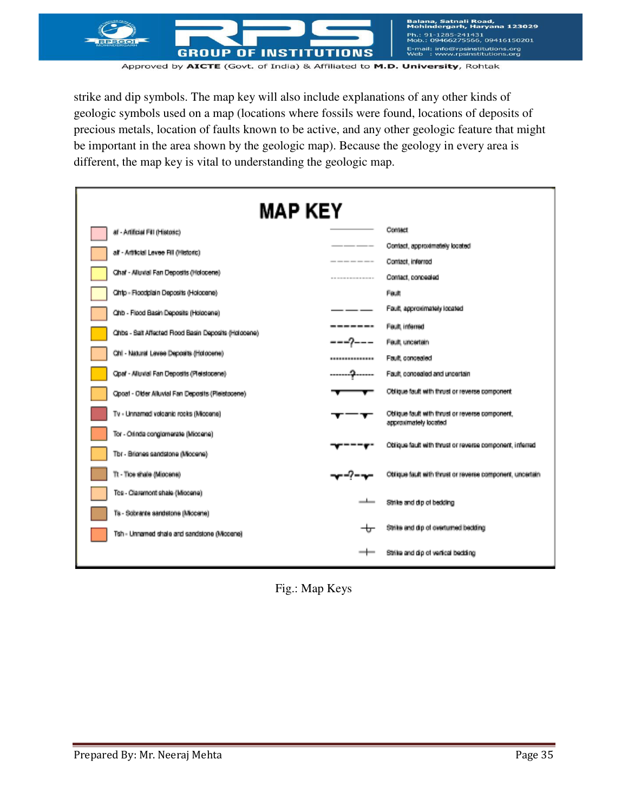

strike and dip symbols. The map key will also include explanations of any other kinds of geologic symbols used on a map (locations where fossils were found, locations of deposits of precious metals, location of faults known to be active, and any other geologic feature that might be important in the area shown by the geologic map). Because the geology in every area is different, the map key is vital to understanding the geologic map.

| <b>MAP KEY</b>                                       |                 |                                                                          |  |  |  |
|------------------------------------------------------|-----------------|--------------------------------------------------------------------------|--|--|--|
| af - Artificial Fill (Historic)                      | Contact         |                                                                          |  |  |  |
| all - Artholal Levee Fill (Historic)                 |                 | Contact, approximately located                                           |  |  |  |
|                                                      | ----------      | Contact, inforred                                                        |  |  |  |
| Chaf - Alluvial Fan Deposits (Holocene)              | --------------- | Contact, concealed                                                       |  |  |  |
| Cinto - Floodplain Deposits (Holocene)               |                 | Feut                                                                     |  |  |  |
| Ohb - Flood Basin Deposits (Holocene)                |                 | Fault, approximately located                                             |  |  |  |
| Ohits - Salt Affected Rood Basin Deposits (Holocene) |                 | Fault, inferred                                                          |  |  |  |
|                                                      |                 | Fault, uncertain                                                         |  |  |  |
| Ohl - Natural Levee Deposits (Holocene)              |                 | Fault concealed                                                          |  |  |  |
| Opaf - Alluvial Fan Deposits (Pleistopene)           |                 | Fault, concealed and uncertain                                           |  |  |  |
| Opozt - Older Alluvial Fan Deposits (Pleistocene)    |                 | Oblique fault with thrust or reverse component                           |  |  |  |
| Tv - Unnamed volcanic rocks (Miccone)                |                 | Oblique fault with thrust or reverse component,<br>approximately located |  |  |  |
| Tor - Orinda conglomerate (Miccene)                  |                 |                                                                          |  |  |  |
| Tbr - Briones sandstone (Mocene)                     |                 | Oblique fault with thrust or reverse component, inferred                 |  |  |  |
| Tt - Tice shale (Miccene)                            |                 | Oblique fault with thrust or reverse component, uncertain                |  |  |  |
| Tes - Claremont shale (Miccene)                      |                 | Strike and dip of bedding                                                |  |  |  |
| Ts - Sobrante sandstone (Miccene)                    |                 |                                                                          |  |  |  |
| Tsh - Unnamed shale and sandstone (Miccene)          | ᆠ               | Strike and dip of overturned bedding                                     |  |  |  |
|                                                      | --              | Strike and dip of vertical beckling                                      |  |  |  |

Fig.: Map Keys